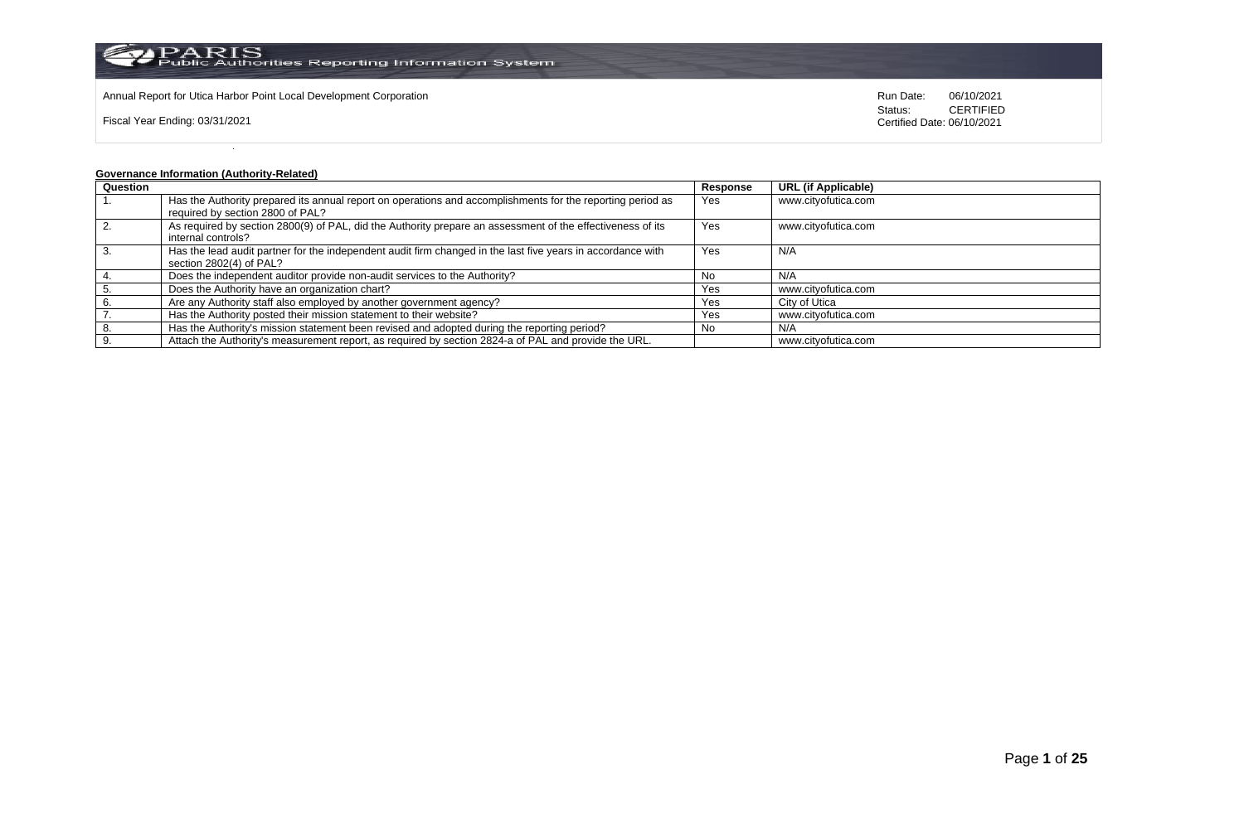

Fiscal Year Ending: 03/31/2021

Status: **CERTIFIED** Certified Date: 06/10/2021

# **Governance Information (Authority-Related)**

| Question |                                                                                                             | Response | <b>URL (if Applicable)</b> |
|----------|-------------------------------------------------------------------------------------------------------------|----------|----------------------------|
|          | Has the Authority prepared its annual report on operations and accomplishments for the reporting period as  | Yes      | www.cityofutica.com        |
|          | required by section 2800 of PAL?                                                                            |          |                            |
| 2.       | As required by section 2800(9) of PAL, did the Authority prepare an assessment of the effectiveness of its  | Yes      | www.cityofutica.com        |
|          | internal controls?                                                                                          |          |                            |
|          | Has the lead audit partner for the independent audit firm changed in the last five years in accordance with | Yes      | N/A                        |
|          | section 2802(4) of PAL?                                                                                     |          |                            |
|          | Does the independent auditor provide non-audit services to the Authority?                                   | . No     | N/A                        |
|          | Does the Authority have an organization chart?                                                              | Yes      | www.cityofutica.com        |
|          | Are any Authority staff also employed by another government agency?                                         | Yes      | City of Utica              |
|          | Has the Authority posted their mission statement to their website?                                          | Yes      | www.cityofutica.com        |
|          | Has the Authority's mission statement been revised and adopted during the reporting period?                 | No       | N/A                        |
|          | Attach the Authority's measurement report, as required by section 2824-a of PAL and provide the URL.        |          | www.cityofutica.com        |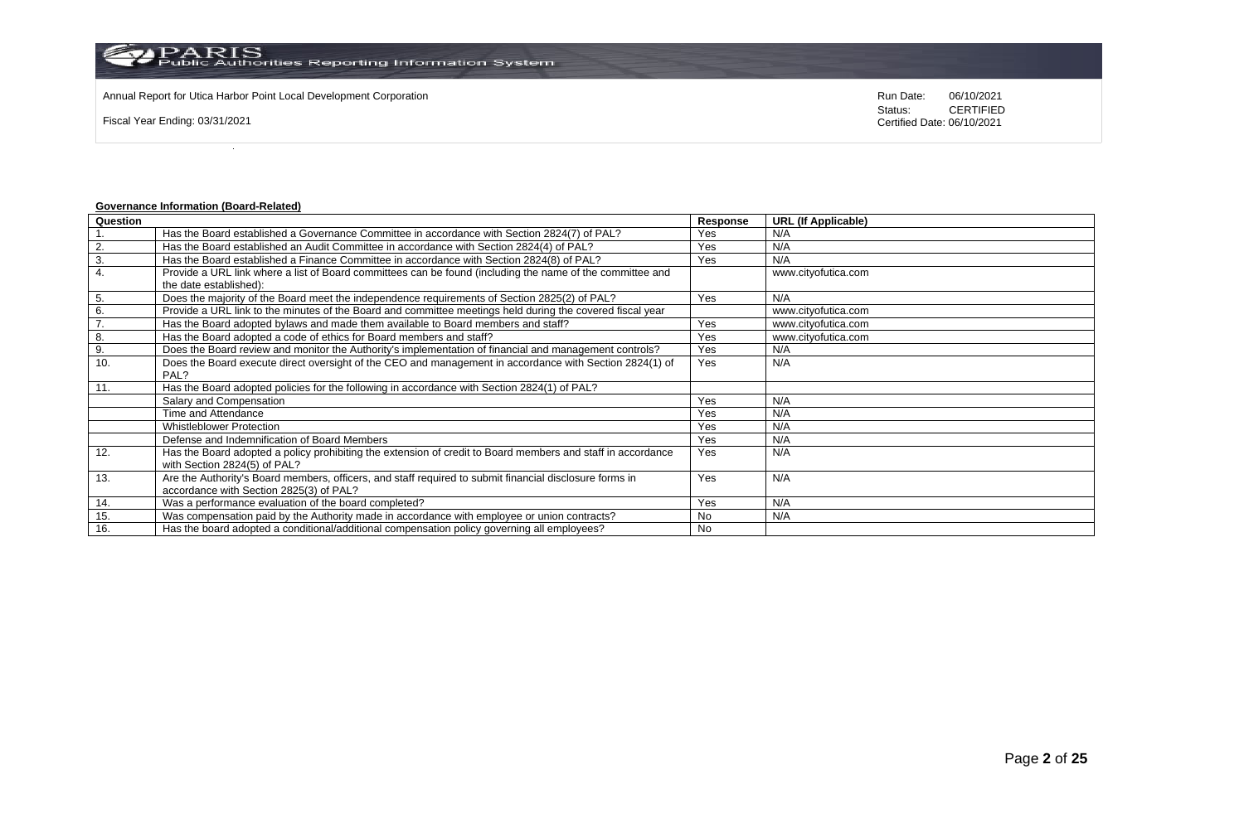Annual Report for Utica Harbor Point Local Development Corporation **Run Date:** 06/10/2021

Fiscal Year Ending: 03/31/2021

Status: **CERTIFIED** Certified Date: 06/10/2021

# **Governance Information (Board-Related)**

| Question |                                                                                                             | <b>Response</b> | <b>URL (If Applicable)</b> |
|----------|-------------------------------------------------------------------------------------------------------------|-----------------|----------------------------|
|          | Has the Board established a Governance Committee in accordance with Section 2824(7) of PAL?                 | Yes             | N/A                        |
| 2.       | Has the Board established an Audit Committee in accordance with Section 2824(4) of PAL?                     | Yes             | N/A                        |
| 3.       | Has the Board established a Finance Committee in accordance with Section 2824(8) of PAL?                    | Yes             | N/A                        |
| 4.       | Provide a URL link where a list of Board committees can be found (including the name of the committee and   |                 | www.cityofutica.com        |
|          | the date established):                                                                                      |                 |                            |
| 5.       | Does the majority of the Board meet the independence requirements of Section 2825(2) of PAL?                | Yes             | N/A                        |
| 6.       | Provide a URL link to the minutes of the Board and committee meetings held during the covered fiscal year   |                 | www.cityofutica.com        |
| 7.       | Has the Board adopted bylaws and made them available to Board members and staff?                            | Yes             | www.cityofutica.com        |
| 8.       | Has the Board adopted a code of ethics for Board members and staff?                                         | Yes             | www.cityofutica.com        |
| 9.       | Does the Board review and monitor the Authority's implementation of financial and management controls?      | Yes             | N/A                        |
| 10.      | Does the Board execute direct oversight of the CEO and management in accordance with Section 2824(1) of     | Yes             | N/A                        |
|          | PAL?                                                                                                        |                 |                            |
| 11.      | Has the Board adopted policies for the following in accordance with Section 2824(1) of PAL?                 |                 |                            |
|          | Salary and Compensation                                                                                     | Yes             | N/A                        |
|          | Time and Attendance                                                                                         | Yes             | N/A                        |
|          | <b>Whistleblower Protection</b>                                                                             | Yes             | N/A                        |
|          | Defense and Indemnification of Board Members                                                                | Yes             | N/A                        |
| 12.      | Has the Board adopted a policy prohibiting the extension of credit to Board members and staff in accordance | Yes             | N/A                        |
|          | with Section 2824(5) of PAL?                                                                                |                 |                            |
| 13.      | Are the Authority's Board members, officers, and staff required to submit financial disclosure forms in     | Yes             | N/A                        |
|          | accordance with Section 2825(3) of PAL?                                                                     |                 |                            |
| 14.      | Was a performance evaluation of the board completed?                                                        | Yes             | N/A                        |
| 15.      | Was compensation paid by the Authority made in accordance with employee or union contracts?                 | <b>No</b>       | N/A                        |
| 16.      | Has the board adopted a conditional/additional compensation policy governing all employees?                 | No              |                            |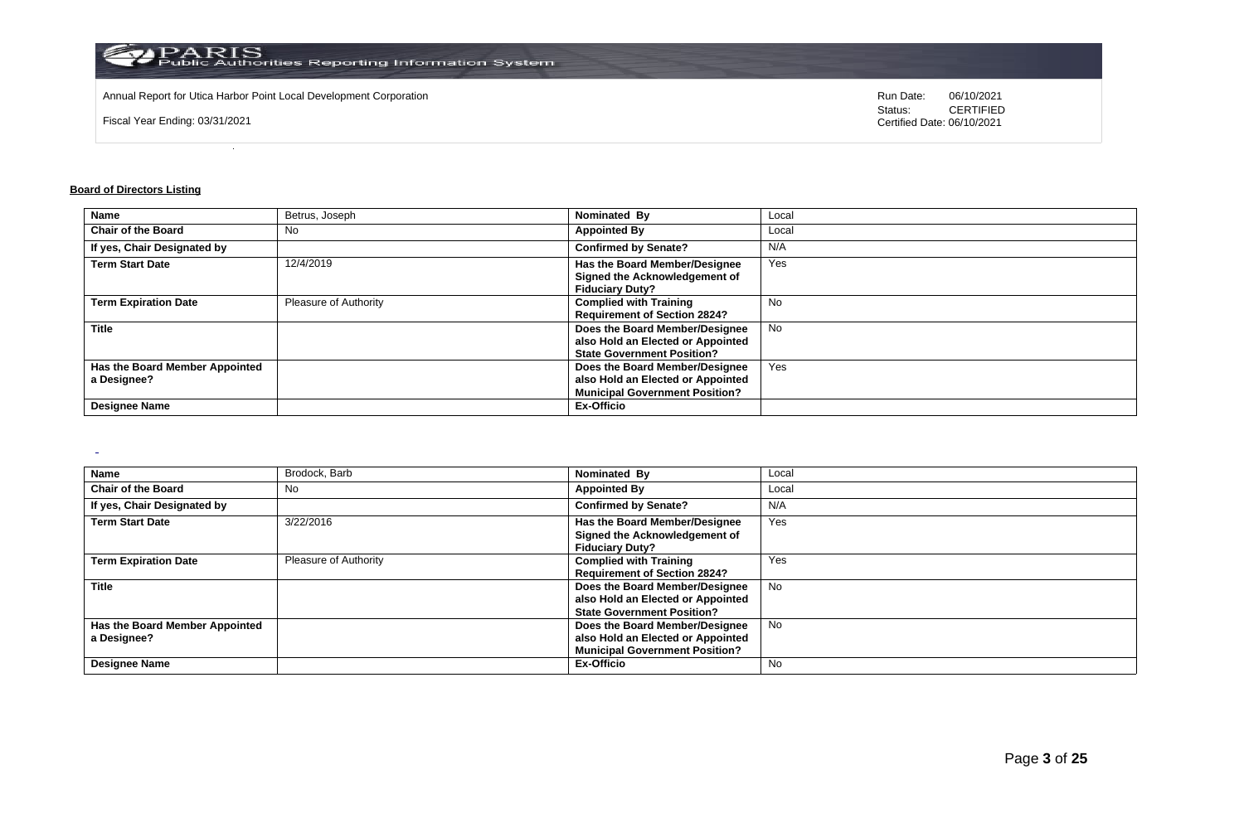

Annual Report for Utica Harbor Point Local Development Corporation **Run Date:** 06/10/2021

Fiscal Year Ending: 03/31/2021

Status: **CERTIFIED** Certified Date: 06/10/2021

## **Board of Directors Listing**

 $\sim$ 

| <b>Name</b>                    | Betrus, Joseph        | Nominated By                          | Local     |
|--------------------------------|-----------------------|---------------------------------------|-----------|
| <b>Chair of the Board</b>      | No.                   | <b>Appointed By</b>                   | Local     |
| If yes, Chair Designated by    |                       | <b>Confirmed by Senate?</b>           | N/A       |
| <b>Term Start Date</b>         | 12/4/2019             | Has the Board Member/Designee         | Yes       |
|                                |                       | Signed the Acknowledgement of         |           |
|                                |                       | <b>Fiduciary Duty?</b>                |           |
| <b>Term Expiration Date</b>    | Pleasure of Authority | <b>Complied with Training</b>         | <b>No</b> |
|                                |                       | <b>Requirement of Section 2824?</b>   |           |
| <b>Title</b>                   |                       | Does the Board Member/Designee        | <b>No</b> |
|                                |                       | also Hold an Elected or Appointed     |           |
|                                |                       | <b>State Government Position?</b>     |           |
| Has the Board Member Appointed |                       | Does the Board Member/Designee        | Yes       |
| a Designee?                    |                       | also Hold an Elected or Appointed     |           |
|                                |                       | <b>Municipal Government Position?</b> |           |
| <b>Designee Name</b>           |                       | <b>Ex-Officio</b>                     |           |

| Name                                                                  | Brodock, Barb                | Nominated By                                                                                                               | Local    |
|-----------------------------------------------------------------------|------------------------------|----------------------------------------------------------------------------------------------------------------------------|----------|
| <b>Chair of the Board</b>                                             | No                           | <b>Appointed By</b>                                                                                                        | Local    |
| If yes, Chair Designated by                                           |                              | <b>Confirmed by Senate?</b>                                                                                                | N/A      |
| <b>Term Start Date</b>                                                | 3/22/2016                    | Has the Board Member/Designee<br>Signed the Acknowledgement of<br><b>Fiduciary Duty?</b>                                   | Yes      |
| <b>Term Expiration Date</b>                                           | <b>Pleasure of Authority</b> | <b>Complied with Training</b><br><b>Requirement of Section 2824?</b>                                                       | Yes      |
| <b>Title</b>                                                          |                              | Does the Board Member/Designee<br>also Hold an Elected or Appointed<br><b>State Government Position?</b>                   | No       |
| Has the Board Member Appointed<br>a Designee?<br><b>Designee Name</b> |                              | Does the Board Member/Designee<br>also Hold an Elected or Appointed<br><b>Municipal Government Position?</b><br>Ex-Officio | No<br>No |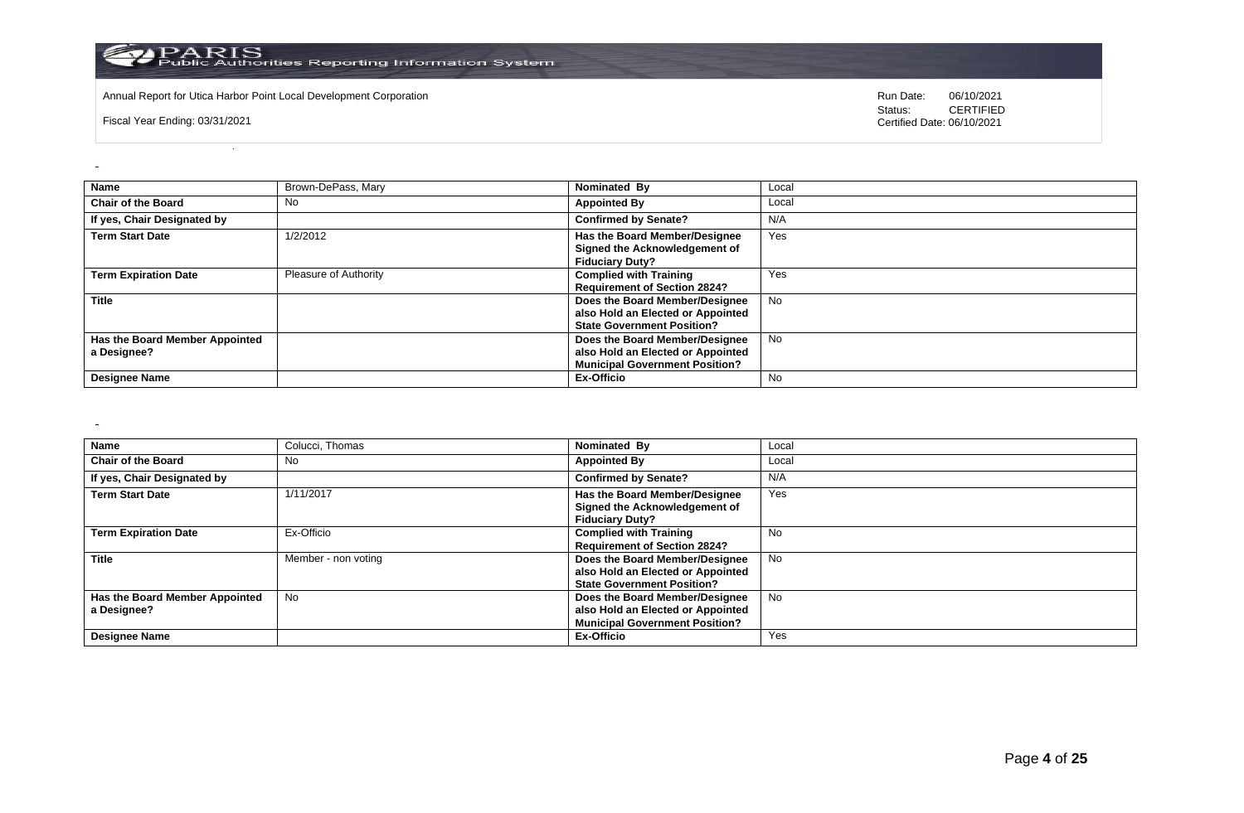

Annual Report for Utica Harbor Point Local Development Corporation **Run Date:** 06/10/2021

Fiscal Year Ending: 03/31/2021

Status: **CERTIFIED** Certified Date: 06/10/2021

| <b>Name</b>                                   | Brown-DePass, Mary    | Nominated By                                                                                                 | Local     |
|-----------------------------------------------|-----------------------|--------------------------------------------------------------------------------------------------------------|-----------|
| <b>Chair of the Board</b>                     | <b>No</b>             | <b>Appointed By</b>                                                                                          | Local     |
| If yes, Chair Designated by                   |                       | <b>Confirmed by Senate?</b>                                                                                  | N/A       |
| <b>Term Start Date</b>                        | 1/2/2012              | Has the Board Member/Designee<br>Signed the Acknowledgement of<br><b>Fiduciary Duty?</b>                     | Yes       |
| <b>Term Expiration Date</b>                   | Pleasure of Authority | <b>Complied with Training</b><br><b>Requirement of Section 2824?</b>                                         | Yes       |
| <b>Title</b>                                  |                       | Does the Board Member/Designee<br>also Hold an Elected or Appointed<br><b>State Government Position?</b>     | <b>No</b> |
| Has the Board Member Appointed<br>a Designee? |                       | Does the Board Member/Designee<br>also Hold an Elected or Appointed<br><b>Municipal Government Position?</b> | <b>No</b> |
| <b>Designee Name</b>                          |                       | Ex-Officio                                                                                                   | No.       |

 $\sim$ 

| <b>Name</b>                    | Colucci, Thomas     | Nominated By                          | Local     |
|--------------------------------|---------------------|---------------------------------------|-----------|
| <b>Chair of the Board</b>      | No                  | <b>Appointed By</b>                   | Local     |
| If yes, Chair Designated by    |                     | <b>Confirmed by Senate?</b>           | N/A       |
| <b>Term Start Date</b>         | 1/11/2017           | Has the Board Member/Designee         | Yes       |
|                                |                     | Signed the Acknowledgement of         |           |
|                                |                     | <b>Fiduciary Duty?</b>                |           |
| <b>Term Expiration Date</b>    | Ex-Officio          | <b>Complied with Training</b>         | No        |
|                                |                     | <b>Requirement of Section 2824?</b>   |           |
| <b>Title</b>                   | Member - non voting | Does the Board Member/Designee        | No        |
|                                |                     | also Hold an Elected or Appointed     |           |
|                                |                     | <b>State Government Position?</b>     |           |
| Has the Board Member Appointed | No                  | Does the Board Member/Designee        | <b>No</b> |
| a Designee?                    |                     | also Hold an Elected or Appointed     |           |
|                                |                     | <b>Municipal Government Position?</b> |           |
| <b>Designee Name</b>           |                     | <b>Ex-Officio</b>                     | Yes       |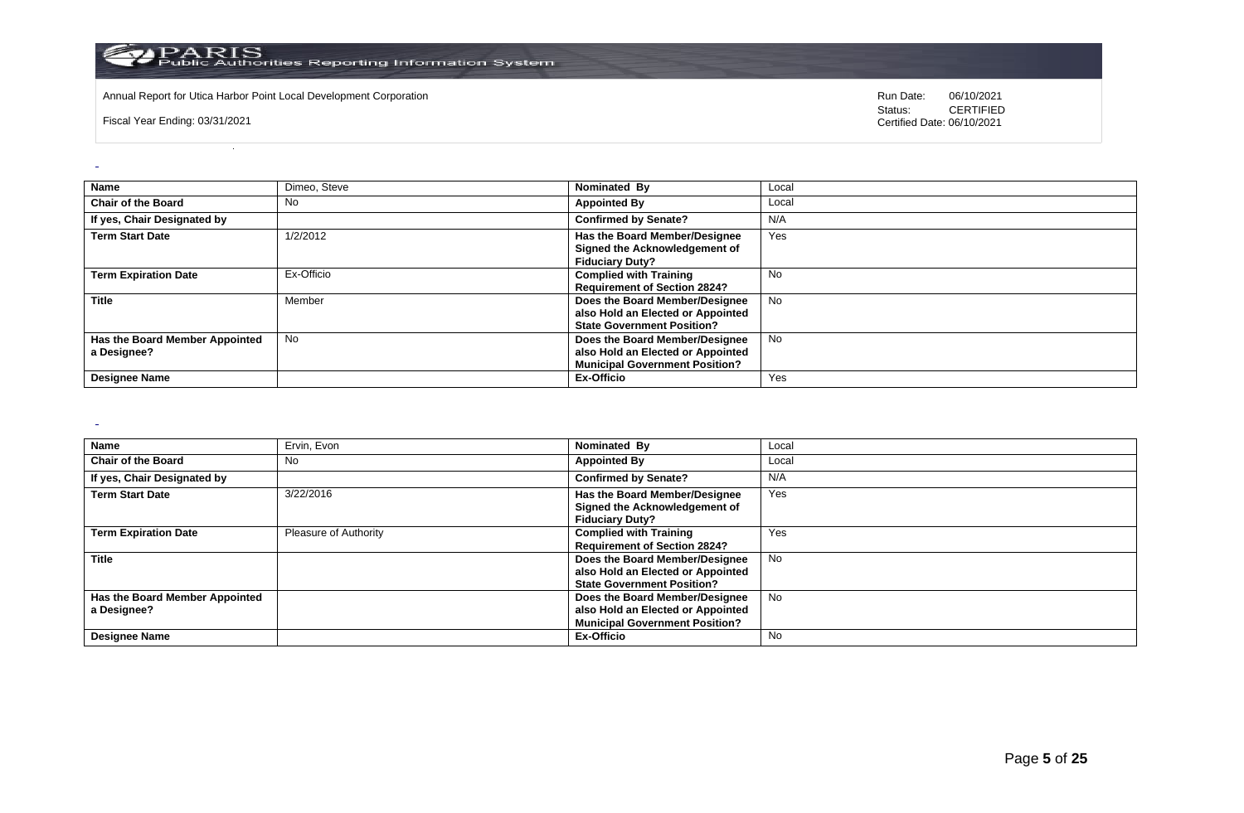

Annual Report for Utica Harbor Point Local Development Corporation **Run Date:** 06/10/2021

Fiscal Year Ending: 03/31/2021

Status: **CERTIFIED** Certified Date: 06/10/2021

| Name                                          | Dimeo, Steve | Nominated By                                                                                                 | Local     |
|-----------------------------------------------|--------------|--------------------------------------------------------------------------------------------------------------|-----------|
| <b>Chair of the Board</b>                     | No           | <b>Appointed By</b>                                                                                          | Local     |
| If yes, Chair Designated by                   |              | <b>Confirmed by Senate?</b>                                                                                  | N/A       |
| <b>Term Start Date</b>                        | 1/2/2012     | Has the Board Member/Designee<br>Signed the Acknowledgement of<br><b>Fiduciary Duty?</b>                     | Yes       |
| <b>Term Expiration Date</b>                   | Ex-Officio   | <b>Complied with Training</b><br><b>Requirement of Section 2824?</b>                                         | No        |
| <b>Title</b>                                  | Member       | Does the Board Member/Designee<br>also Hold an Elected or Appointed<br><b>State Government Position?</b>     | <b>No</b> |
| Has the Board Member Appointed<br>a Designee? | <b>No</b>    | Does the Board Member/Designee<br>also Hold an Elected or Appointed<br><b>Municipal Government Position?</b> | <b>No</b> |
| <b>Designee Name</b>                          |              | Ex-Officio                                                                                                   | Yes       |

 $\sim$ 

| <b>Name</b>                    | Ervin, Evon                  | Nominated By                          | Local     |
|--------------------------------|------------------------------|---------------------------------------|-----------|
| <b>Chair of the Board</b>      | No                           | <b>Appointed By</b>                   | Local     |
| If yes, Chair Designated by    |                              | <b>Confirmed by Senate?</b>           | N/A       |
| <b>Term Start Date</b>         | 3/22/2016                    | Has the Board Member/Designee         | Yes       |
|                                |                              | Signed the Acknowledgement of         |           |
|                                |                              | <b>Fiduciary Duty?</b>                |           |
| <b>Term Expiration Date</b>    | <b>Pleasure of Authority</b> | <b>Complied with Training</b>         | Yes       |
|                                |                              | <b>Requirement of Section 2824?</b>   |           |
| <b>Title</b>                   |                              | Does the Board Member/Designee        | <b>No</b> |
|                                |                              | also Hold an Elected or Appointed     |           |
|                                |                              | <b>State Government Position?</b>     |           |
| Has the Board Member Appointed |                              | Does the Board Member/Designee        | No.       |
| a Designee?                    |                              | also Hold an Elected or Appointed     |           |
|                                |                              | <b>Municipal Government Position?</b> |           |
| <b>Designee Name</b>           |                              | Ex-Officio                            | No        |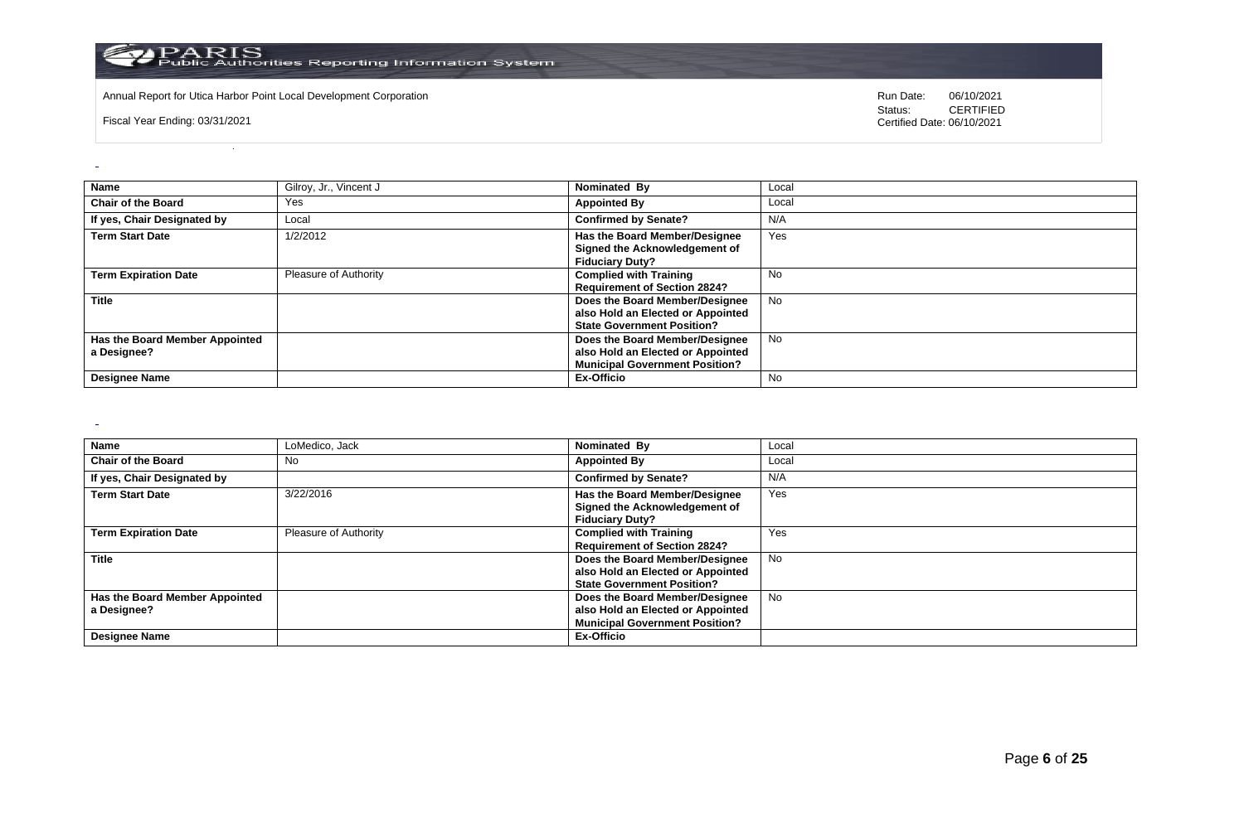

Annual Report for Utica Harbor Point Local Development Corporation **Run Date:** 06/10/2021

Fiscal Year Ending: 03/31/2021

Status: **CERTIFIED** Certified Date: 06/10/2021

|                                | Gilroy, Jr., Vincent J |                                       |           |
|--------------------------------|------------------------|---------------------------------------|-----------|
| <b>Name</b>                    |                        | Nominated By                          | Local     |
| <b>Chair of the Board</b>      | Yes                    | <b>Appointed By</b>                   | Local     |
| If yes, Chair Designated by    | Local                  | <b>Confirmed by Senate?</b>           | N/A       |
| <b>Term Start Date</b>         | 1/2/2012               | Has the Board Member/Designee         | Yes       |
|                                |                        | Signed the Acknowledgement of         |           |
|                                |                        | <b>Fiduciary Duty?</b>                |           |
| <b>Term Expiration Date</b>    | Pleasure of Authority  | <b>Complied with Training</b>         | No        |
|                                |                        |                                       |           |
|                                |                        | <b>Requirement of Section 2824?</b>   |           |
| <b>Title</b>                   |                        | Does the Board Member/Designee        | <b>No</b> |
|                                |                        | also Hold an Elected or Appointed     |           |
|                                |                        | <b>State Government Position?</b>     |           |
| Has the Board Member Appointed |                        | Does the Board Member/Designee        | <b>No</b> |
| a Designee?                    |                        | also Hold an Elected or Appointed     |           |
|                                |                        | <b>Municipal Government Position?</b> |           |
| <b>Designee Name</b>           |                        | Ex-Officio                            | No        |

 $\sim$ 

| <b>Name</b>                    | LoMedico, Jack               | Nominated By                          | Local     |
|--------------------------------|------------------------------|---------------------------------------|-----------|
| <b>Chair of the Board</b>      | No                           | <b>Appointed By</b>                   | Local     |
| If yes, Chair Designated by    |                              | <b>Confirmed by Senate?</b>           | N/A       |
| <b>Term Start Date</b>         | 3/22/2016                    | Has the Board Member/Designee         | Yes       |
|                                |                              | Signed the Acknowledgement of         |           |
|                                |                              | <b>Fiduciary Duty?</b>                |           |
| <b>Term Expiration Date</b>    | <b>Pleasure of Authority</b> | <b>Complied with Training</b>         | Yes       |
|                                |                              | <b>Requirement of Section 2824?</b>   |           |
| <b>Title</b>                   |                              | Does the Board Member/Designee        | <b>No</b> |
|                                |                              | also Hold an Elected or Appointed     |           |
|                                |                              | <b>State Government Position?</b>     |           |
| Has the Board Member Appointed |                              | Does the Board Member/Designee        | No        |
| a Designee?                    |                              | also Hold an Elected or Appointed     |           |
|                                |                              | <b>Municipal Government Position?</b> |           |
| <b>Designee Name</b>           |                              | <b>Ex-Officio</b>                     |           |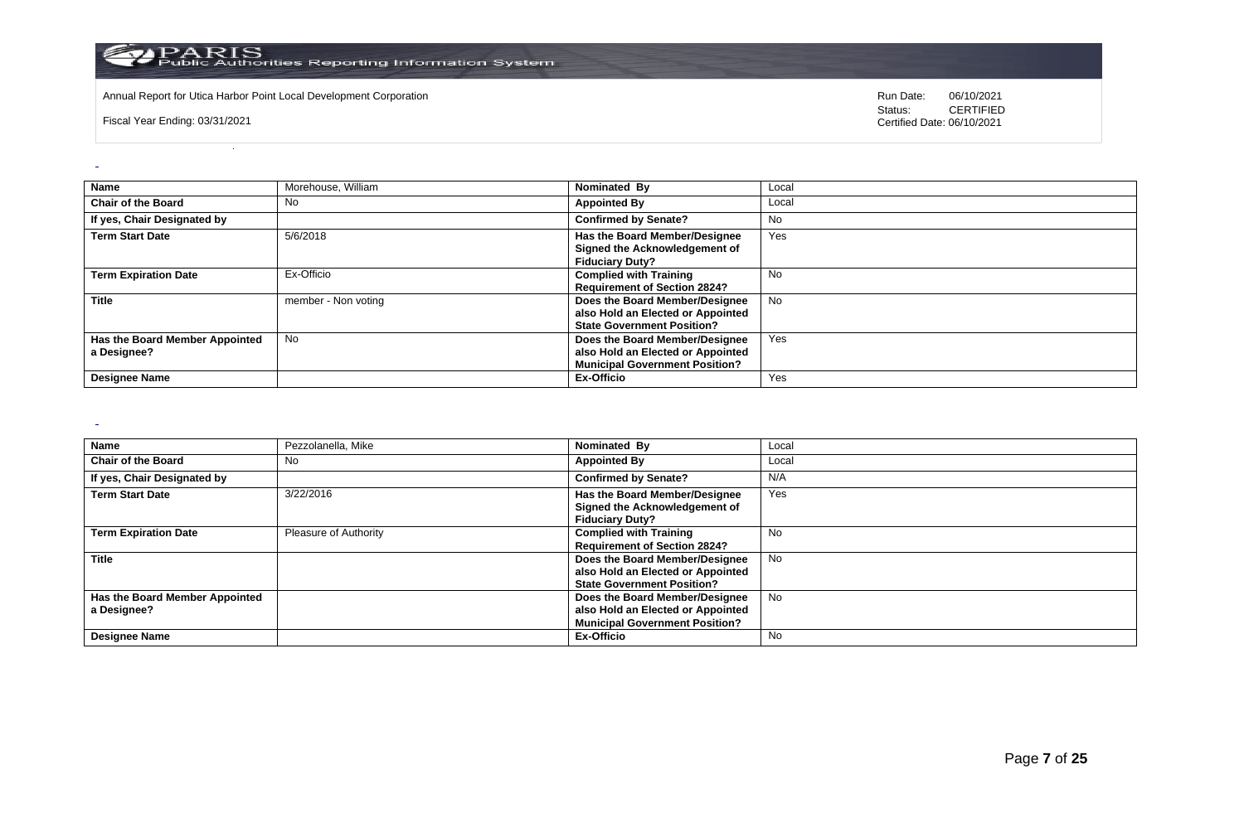

Annual Report for Utica Harbor Point Local Development Corporation **Run Date:** 06/10/2021

Fiscal Year Ending: 03/31/2021

Status: **CERTIFIED** Certified Date: 06/10/2021

| Name                                          | Morehouse, William  | Nominated By                                                                                                 | Local     |
|-----------------------------------------------|---------------------|--------------------------------------------------------------------------------------------------------------|-----------|
| <b>Chair of the Board</b>                     | No                  | <b>Appointed By</b>                                                                                          | Local     |
| If yes, Chair Designated by                   |                     | <b>Confirmed by Senate?</b>                                                                                  | No        |
| <b>Term Start Date</b>                        | 5/6/2018            | Has the Board Member/Designee<br>Signed the Acknowledgement of<br><b>Fiduciary Duty?</b>                     | Yes       |
| <b>Term Expiration Date</b>                   | Ex-Officio          | <b>Complied with Training</b><br><b>Requirement of Section 2824?</b>                                         | No        |
| <b>Title</b>                                  | member - Non voting | Does the Board Member/Designee<br>also Hold an Elected or Appointed<br><b>State Government Position?</b>     | <b>No</b> |
| Has the Board Member Appointed<br>a Designee? | <b>No</b>           | Does the Board Member/Designee<br>also Hold an Elected or Appointed<br><b>Municipal Government Position?</b> | Yes       |
| <b>Designee Name</b>                          |                     | Ex-Officio                                                                                                   | Yes       |

 $\sim$ 

| <b>Name</b>                    | Pezzolanella, Mike    | Nominated By                          | Local     |
|--------------------------------|-----------------------|---------------------------------------|-----------|
| <b>Chair of the Board</b>      | No                    | <b>Appointed By</b>                   | Local     |
| If yes, Chair Designated by    |                       | <b>Confirmed by Senate?</b>           | N/A       |
| <b>Term Start Date</b>         | 3/22/2016             | Has the Board Member/Designee         | Yes       |
|                                |                       | Signed the Acknowledgement of         |           |
|                                |                       | <b>Fiduciary Duty?</b>                |           |
| <b>Term Expiration Date</b>    | Pleasure of Authority | <b>Complied with Training</b>         | <b>No</b> |
|                                |                       | <b>Requirement of Section 2824?</b>   |           |
| <b>Title</b>                   |                       | Does the Board Member/Designee        | No        |
|                                |                       | also Hold an Elected or Appointed     |           |
|                                |                       | <b>State Government Position?</b>     |           |
| Has the Board Member Appointed |                       | Does the Board Member/Designee        | <b>No</b> |
| a Designee?                    |                       | also Hold an Elected or Appointed     |           |
|                                |                       | <b>Municipal Government Position?</b> |           |
| <b>Designee Name</b>           |                       | <b>Ex-Officio</b>                     | No.       |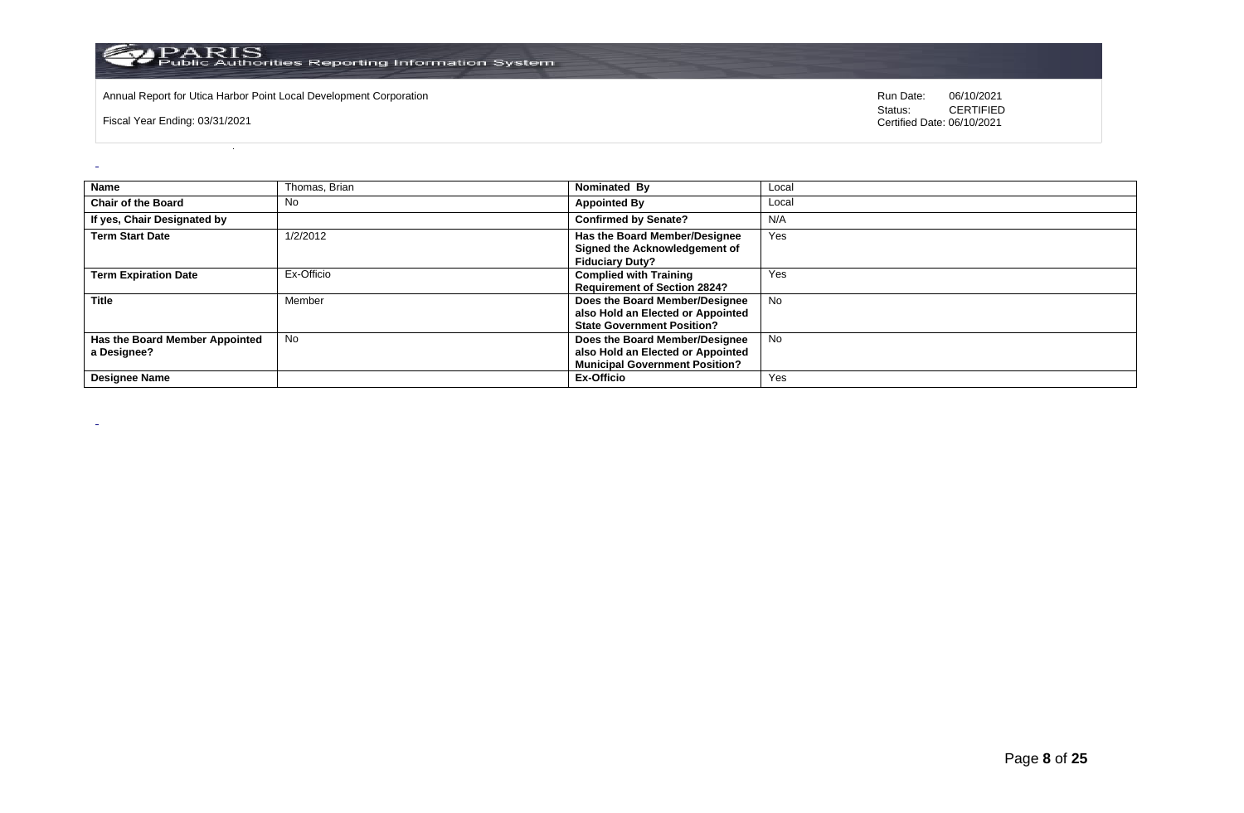

Annual Report for Utica Harbor Point Local Development Corporation **Run Date:** 06/10/2021

Fiscal Year Ending: 03/31/2021

 $\omega$ 

 $\sim$ 

| Name                                          | Thomas, Brian | Nominated By                                                                                                 | Local     |
|-----------------------------------------------|---------------|--------------------------------------------------------------------------------------------------------------|-----------|
| <b>Chair of the Board</b>                     | <b>No</b>     | <b>Appointed By</b>                                                                                          | Local     |
| If yes, Chair Designated by                   |               | <b>Confirmed by Senate?</b>                                                                                  | N/A       |
| <b>Term Start Date</b>                        | 1/2/2012      | Has the Board Member/Designee<br>Signed the Acknowledgement of<br><b>Fiduciary Duty?</b>                     | Yes       |
| <b>Term Expiration Date</b>                   | Ex-Officio    | <b>Complied with Training</b><br><b>Requirement of Section 2824?</b>                                         | Yes       |
| <b>Title</b>                                  | Member        | Does the Board Member/Designee<br>also Hold an Elected or Appointed<br><b>State Government Position?</b>     | <b>No</b> |
| Has the Board Member Appointed<br>a Designee? | <b>No</b>     | Does the Board Member/Designee<br>also Hold an Elected or Appointed<br><b>Municipal Government Position?</b> | No        |
| <b>Designee Name</b>                          |               | <b>Ex-Officio</b>                                                                                            | Yes       |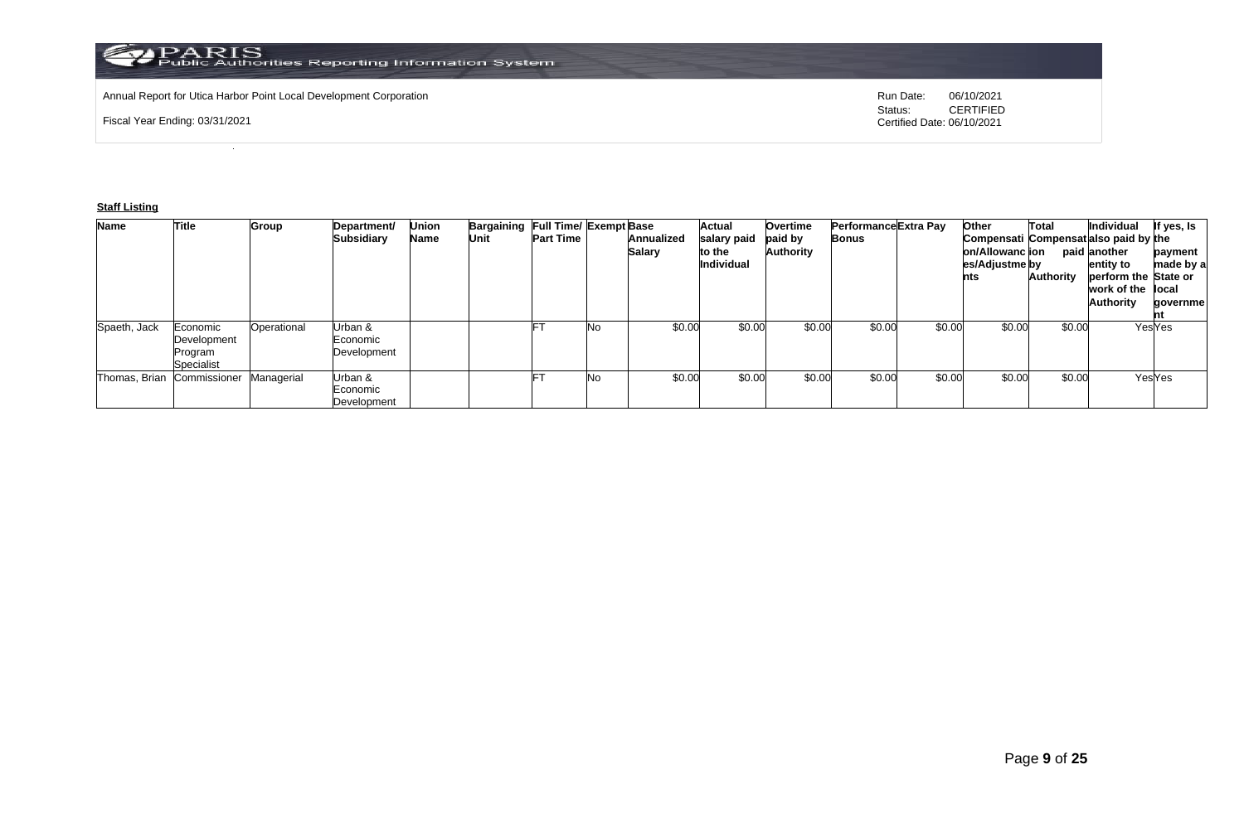# Annual Report for Utica Harbor Point Local Development Corporation **Run Date:** 06/10/2021

Fiscal Year Ending: 03/31/2021

Status: **CERTIFIED** Certified Date: 06/10/2021

### **Staff Listing**

| <b>Name</b>  | Title                                            | Group       | Department/<br><b>Subsidiary</b>   | Union<br>Name | Bargaining Full Time/ Exempt Base<br>Unit | <b>Part Time</b> |    | Annualized<br><b>Salary</b> | <b>Actual</b><br>salary paid<br>to the<br>Individual | Overtime<br>paid by<br>Authority | Performance Extra Pay<br><b>Bonus</b> |        | Other<br>Compensati Compensat also paid by the<br>on/Allowanc ion<br>es/Adjustme by<br>nts | Total<br>Authority | Individual<br>paid another<br>entity to<br>perform the State or<br>work of the llocal<br><b>Authority</b> | If yes, Is<br>payment<br>made by a<br>qovernme |
|--------------|--------------------------------------------------|-------------|------------------------------------|---------------|-------------------------------------------|------------------|----|-----------------------------|------------------------------------------------------|----------------------------------|---------------------------------------|--------|--------------------------------------------------------------------------------------------|--------------------|-----------------------------------------------------------------------------------------------------------|------------------------------------------------|
| Spaeth, Jack | Economic<br>Development<br>Program<br>Specialist | Operational | Urban &<br>Economic<br>Development |               |                                           |                  | No | \$0.00                      | \$0.00                                               | \$0.00                           | \$0.00                                | \$0.00 | \$0.00                                                                                     | \$0.00             |                                                                                                           | YesYes                                         |
|              | Thomas, Brian Commissioner                       | Managerial  | Urban &<br>Economic<br>Development |               |                                           |                  | No | \$0.00                      | \$0.00                                               | \$0.00                           | \$0.00                                | \$0.00 | \$0.00                                                                                     | \$0.00             |                                                                                                           | YesYes                                         |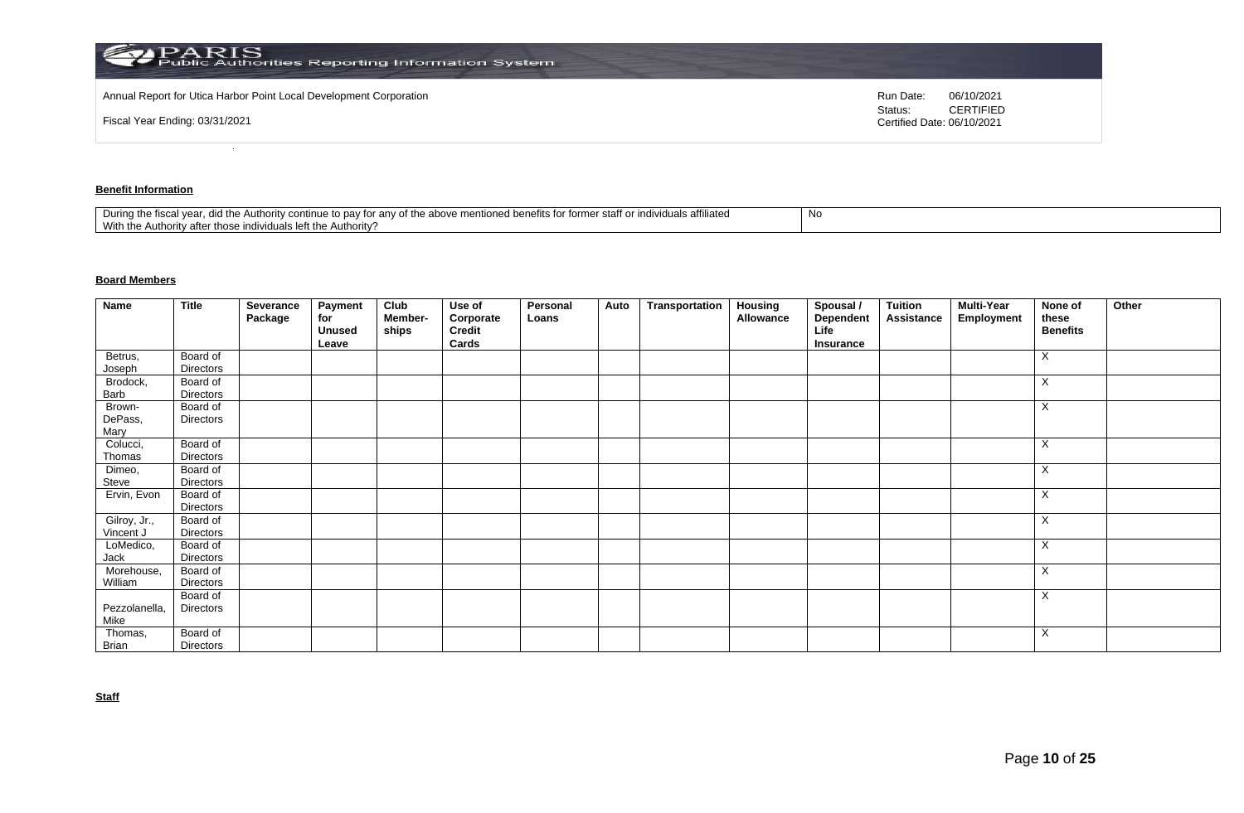| $\rm \blacktriangleright PARRIS$ Public Authorities Reporting Information System $\rm \blacktriangleright$ |                                                           |
|------------------------------------------------------------------------------------------------------------|-----------------------------------------------------------|
| Annual Report for Utica Harbor Point Local Development Corporation                                         | Run Date:<br>06/10/2021                                   |
| Fiscal Year Ending: 03/31/2021                                                                             | <b>CERTIFIED</b><br>Status:<br>Certified Date: 06/10/2021 |

# **Benefit Information**

| affiliated<br>staff o<br>$+$<br>During the fiscal<br>the above<br>าฑทนค<br>the Authority cor<br>r anv oi<br>individuais en<br>ונזד עי<br>to dav<br>101111 <del>0</del><br>iloneg benems ion<br>1 Y U<br>.<br>With the<br>Authority?<br>uthori<br>.v atte<br>∴ ייטו בווסו∨וסטו forr^ |  |
|-------------------------------------------------------------------------------------------------------------------------------------------------------------------------------------------------------------------------------------------------------------------------------------|--|
|-------------------------------------------------------------------------------------------------------------------------------------------------------------------------------------------------------------------------------------------------------------------------------------|--|

# **Board Members**

| Name              | <b>Title</b>          | Severance<br>Package | Payment<br>for<br><b>Unused</b> | Club<br>Member-<br>ships | Use of<br>Corporate<br>Credit | Personal<br>Loans | Auto | Transportation | Housing<br>Allowance | Spousal /<br>Dependent<br>Life | <b>Tuition</b><br>Assistance | <b>Multi-Year</b><br>Employment | None of<br>these<br><b>Benefits</b> | Other |
|-------------------|-----------------------|----------------------|---------------------------------|--------------------------|-------------------------------|-------------------|------|----------------|----------------------|--------------------------------|------------------------------|---------------------------------|-------------------------------------|-------|
|                   |                       |                      | Leave                           |                          | Cards                         |                   |      |                |                      | Insurance                      |                              |                                 |                                     |       |
| Betrus,           | Board of              |                      |                                 |                          |                               |                   |      |                |                      |                                |                              |                                 | X                                   |       |
| Joseph            | Directors             |                      |                                 |                          |                               |                   |      |                |                      |                                |                              |                                 |                                     |       |
| Brodock,<br>Barb  | Board of<br>Directors |                      |                                 |                          |                               |                   |      |                |                      |                                |                              |                                 | X                                   |       |
|                   |                       |                      |                                 |                          |                               |                   |      |                |                      |                                |                              |                                 |                                     |       |
| Brown-<br>DePass, | Board of<br>Directors |                      |                                 |                          |                               |                   |      |                |                      |                                |                              |                                 | Χ                                   |       |
| Mary              |                       |                      |                                 |                          |                               |                   |      |                |                      |                                |                              |                                 |                                     |       |
| Colucci,          | Board of              |                      |                                 |                          |                               |                   |      |                |                      |                                |                              |                                 | Χ                                   |       |
| Thomas            | Directors             |                      |                                 |                          |                               |                   |      |                |                      |                                |                              |                                 |                                     |       |
| Dimeo,            | Board of              |                      |                                 |                          |                               |                   |      |                |                      |                                |                              |                                 | X                                   |       |
| Steve             | Directors             |                      |                                 |                          |                               |                   |      |                |                      |                                |                              |                                 |                                     |       |
| Ervin, Evon       | Board of              |                      |                                 |                          |                               |                   |      |                |                      |                                |                              |                                 | X                                   |       |
|                   | <b>Directors</b>      |                      |                                 |                          |                               |                   |      |                |                      |                                |                              |                                 |                                     |       |
| Gilroy, Jr.,      | Board of              |                      |                                 |                          |                               |                   |      |                |                      |                                |                              |                                 | X                                   |       |
| Vincent J         | Directors             |                      |                                 |                          |                               |                   |      |                |                      |                                |                              |                                 |                                     |       |
| LoMedico,         | Board of              |                      |                                 |                          |                               |                   |      |                |                      |                                |                              |                                 | X                                   |       |
| Jack              | Directors             |                      |                                 |                          |                               |                   |      |                |                      |                                |                              |                                 |                                     |       |
| Morehouse,        | Board of              |                      |                                 |                          |                               |                   |      |                |                      |                                |                              |                                 | X                                   |       |
| William           | <b>Directors</b>      |                      |                                 |                          |                               |                   |      |                |                      |                                |                              |                                 |                                     |       |
|                   | Board of              |                      |                                 |                          |                               |                   |      |                |                      |                                |                              |                                 | X                                   |       |
| Pezzolanella,     | Directors             |                      |                                 |                          |                               |                   |      |                |                      |                                |                              |                                 |                                     |       |
| Mike              |                       |                      |                                 |                          |                               |                   |      |                |                      |                                |                              |                                 |                                     |       |
| Thomas,           | Board of              |                      |                                 |                          |                               |                   |      |                |                      |                                |                              |                                 | Χ                                   |       |
| Brian             | Directors             |                      |                                 |                          |                               |                   |      |                |                      |                                |                              |                                 |                                     |       |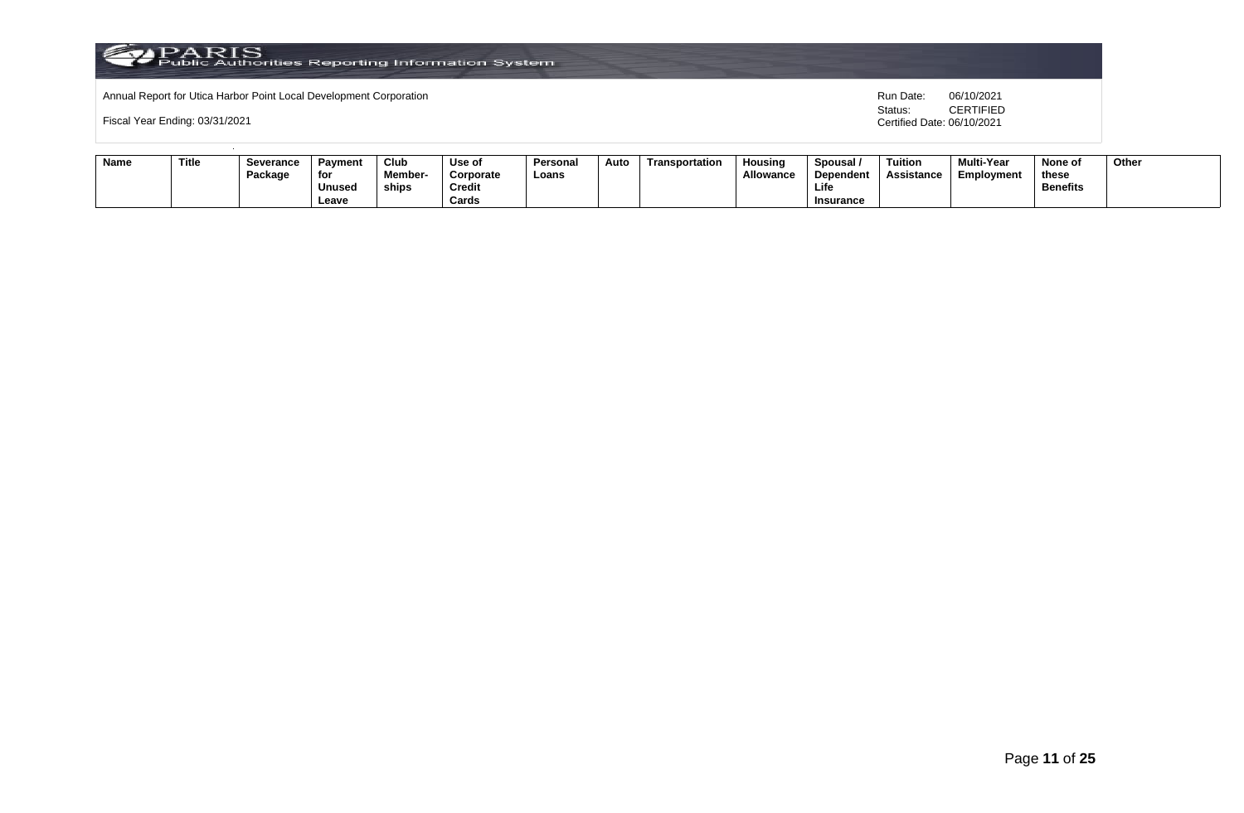

Fiscal Year Ending: 03/31/2021

| <b>Name</b> | Title | <b>Severance</b><br>Package | Pavment<br>for | Club<br>Member- | Use of<br>Corporate | Personal<br>Loans | Auto | Transportation | Housing<br>Allowance | Spousal<br>Dependent | <b>Tuition</b><br><b>Assistance</b> | Multi-Year<br>Employment | None of<br>these | Other |
|-------------|-------|-----------------------------|----------------|-----------------|---------------------|-------------------|------|----------------|----------------------|----------------------|-------------------------------------|--------------------------|------------------|-------|
|             |       |                             |                |                 |                     |                   |      |                |                      |                      |                                     |                          |                  |       |
|             |       |                             | Unused         | ships           | <b>Credit</b>       |                   |      |                |                      | Life                 |                                     |                          | <b>Benefits</b>  |       |
|             |       |                             | Leave          |                 | Cards               |                   |      |                |                      | Insurance            |                                     |                          |                  |       |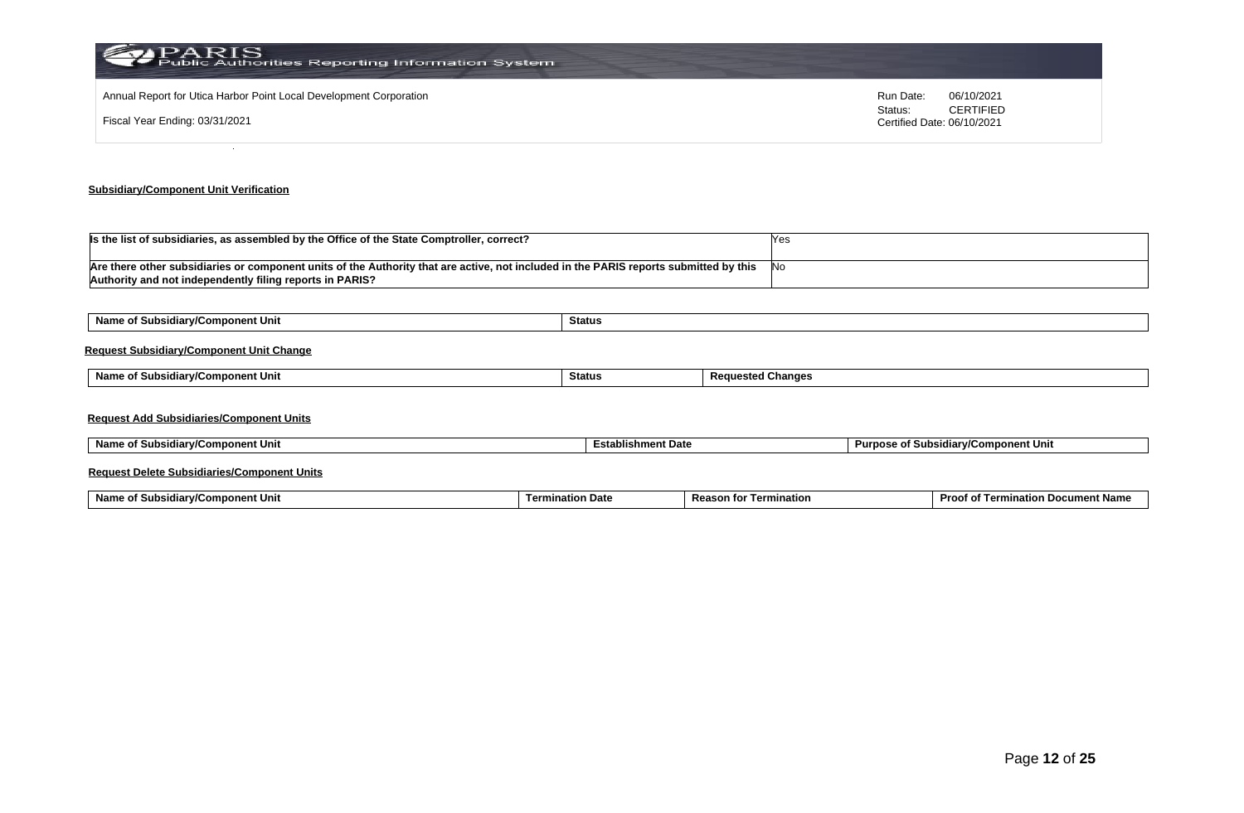| <b>PARIS</b><br>Public Authorities Reporting Information System    |                                                           |
|--------------------------------------------------------------------|-----------------------------------------------------------|
| Annual Report for Utica Harbor Point Local Development Corporation | 06/10/2021<br>Run Date:                                   |
| Fiscal Year Ending: 03/31/2021                                     | <b>CERTIFIED</b><br>Status:<br>Certified Date: 06/10/2021 |
|                                                                    |                                                           |

# **Subsidiary/Component Unit Verification**

| Is the list of subsidiaries, as assembled by the Office of the State Comptroller, correct?                                            |      |
|---------------------------------------------------------------------------------------------------------------------------------------|------|
|                                                                                                                                       |      |
| Are there other subsidiaries or component units of the Authority that are active, not included in the PARIS reports submitted by this | -INo |
| Authority and not independently filing reports in PARIS?                                                                              |      |

| Name of Subsidiary/Component Unit               | Status        |                          |  |  |  |  |  |  |  |  |
|-------------------------------------------------|---------------|--------------------------|--|--|--|--|--|--|--|--|
| <b>Request Subsidiary/Component Unit Change</b> |               |                          |  |  |  |  |  |  |  |  |
| Name of Subsidiary/Component Unit               | <b>Status</b> | <b>Requested Changes</b> |  |  |  |  |  |  |  |  |
| <b>Request Add Subsidiaries/Component Units</b> |               |                          |  |  |  |  |  |  |  |  |

| Name of Subsidiary/Component Unit<br>the contract of the contract of the contract of the contract of the contract of the contract of the contract of | <b>Establishment Date</b> | Purpose of Subsidiary/Component Unit |
|------------------------------------------------------------------------------------------------------------------------------------------------------|---------------------------|--------------------------------------|
|------------------------------------------------------------------------------------------------------------------------------------------------------|---------------------------|--------------------------------------|

# **Request Delete Subsidiaries/Component Units**

| Name o<br>้าmponent Uni<br>. .<br>"ularw"<br>Subsi<br>v, | nata<br>`੧tion ∟<br>ı ermi | Reasu<br>ination | Proof o<br>nt Nam<br>ınatior<br>Term<br><b>cumer</b><br>vu |
|----------------------------------------------------------|----------------------------|------------------|------------------------------------------------------------|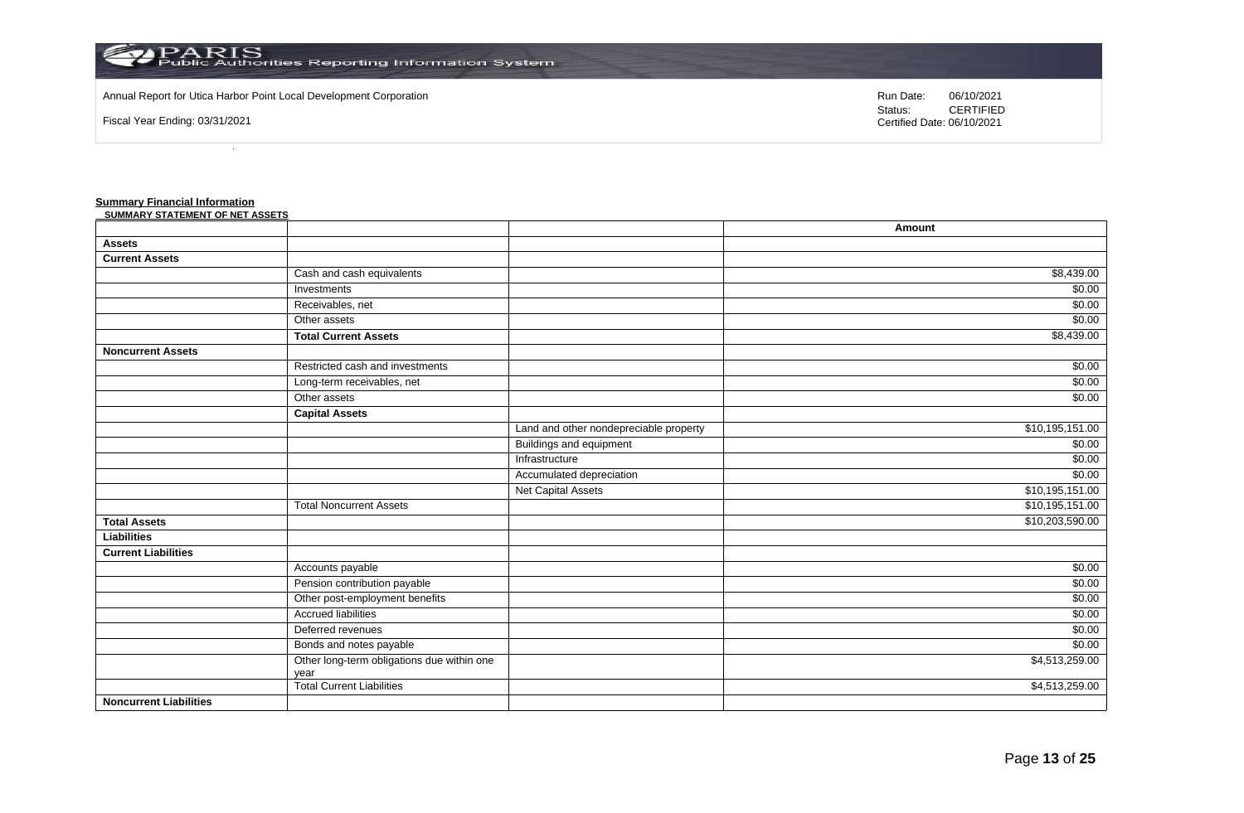

Annual Report for Utica Harbor Point Local Development Corporation **Run Date:** 06/10/2021

Fiscal Year Ending: 03/31/2021

Status: **CERTIFIED** Certified Date: 06/10/2021

#### **Summary Financial Information**

| <b>SUMMARY STATEMENT OF NET ASSETS</b> |                                                    |                                        |                 |
|----------------------------------------|----------------------------------------------------|----------------------------------------|-----------------|
|                                        |                                                    |                                        | Amount          |
| <b>Assets</b>                          |                                                    |                                        |                 |
| <b>Current Assets</b>                  |                                                    |                                        |                 |
|                                        | Cash and cash equivalents                          |                                        | \$8,439.00      |
|                                        | Investments                                        |                                        | \$0.00          |
|                                        | Receivables, net                                   |                                        | \$0.00          |
|                                        | Other assets                                       |                                        | \$0.00          |
|                                        | <b>Total Current Assets</b>                        |                                        | \$8,439.00      |
| <b>Noncurrent Assets</b>               |                                                    |                                        |                 |
|                                        | Restricted cash and investments                    |                                        | \$0.00          |
|                                        | Long-term receivables, net                         |                                        | \$0.00          |
|                                        | Other assets                                       |                                        | \$0.00          |
|                                        | <b>Capital Assets</b>                              |                                        |                 |
|                                        |                                                    | Land and other nondepreciable property | \$10,195,151.00 |
|                                        |                                                    | <b>Buildings and equipment</b>         | \$0.00          |
|                                        |                                                    | Infrastructure                         | \$0.00          |
|                                        |                                                    | Accumulated depreciation               | \$0.00          |
|                                        |                                                    | <b>Net Capital Assets</b>              | \$10,195,151.00 |
|                                        | <b>Total Noncurrent Assets</b>                     |                                        | \$10,195,151.00 |
| <b>Total Assets</b>                    |                                                    |                                        | \$10,203,590.00 |
| <b>Liabilities</b>                     |                                                    |                                        |                 |
| <b>Current Liabilities</b>             |                                                    |                                        |                 |
|                                        | Accounts payable                                   |                                        | \$0.00          |
|                                        | Pension contribution payable                       |                                        | \$0.00          |
|                                        | Other post-employment benefits                     |                                        | \$0.00          |
|                                        | <b>Accrued liabilities</b>                         |                                        | \$0.00          |
|                                        | Deferred revenues                                  |                                        | \$0.00          |
|                                        | Bonds and notes payable                            |                                        | \$0.00          |
|                                        | Other long-term obligations due within one<br>year |                                        | \$4,513,259.00  |
|                                        | Total Current Liabilities                          |                                        | \$4,513,259.00  |
| <b>Noncurrent Liabilities</b>          |                                                    |                                        |                 |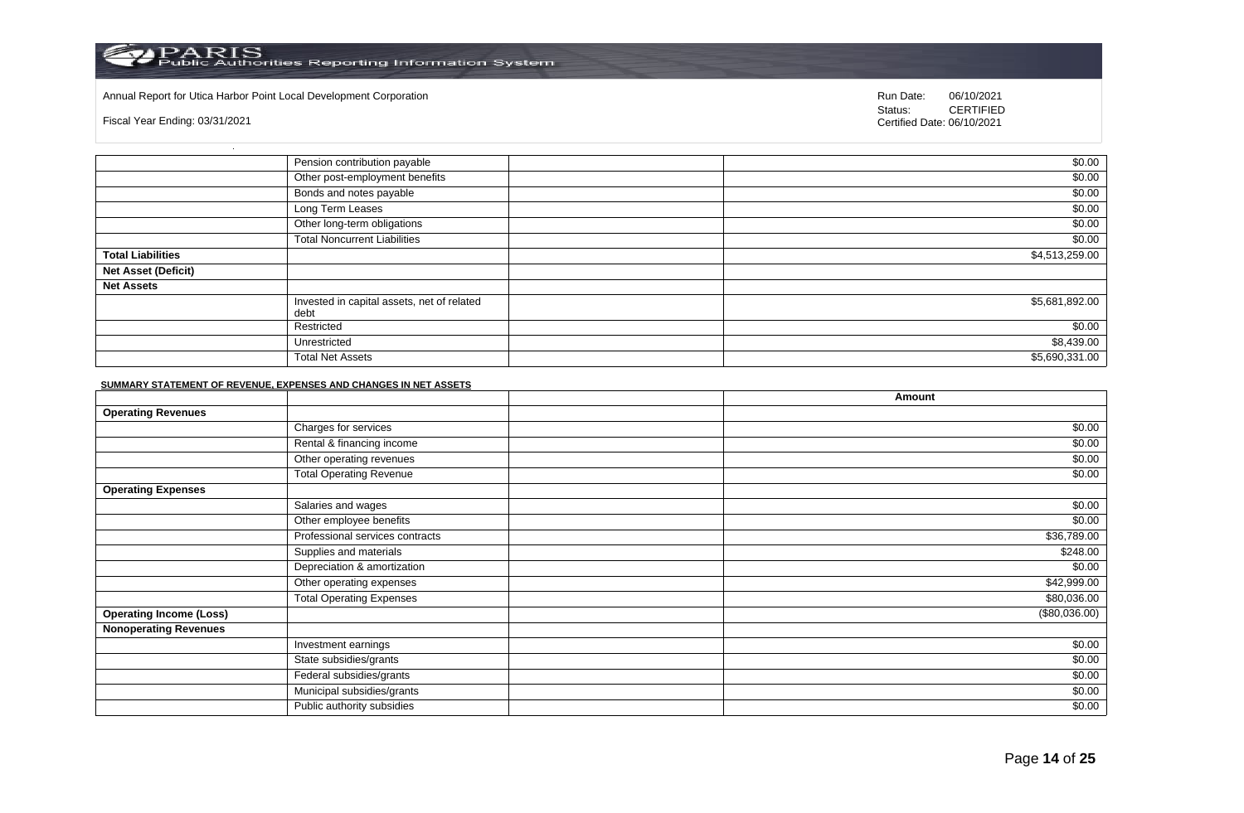#### Annual Report for Utica Harbor Point Local Development Corporation **Run Date:** 06/10/2021

Fiscal Year Ending: 03/31/2021

Status: **CERTIFIED** Certified Date: 06/10/2021

|                            | Pension contribution payable                       | \$0.00         |
|----------------------------|----------------------------------------------------|----------------|
|                            | Other post-employment benefits                     | \$0.00         |
|                            | Bonds and notes payable                            | \$0.00         |
|                            | Long Term Leases                                   | \$0.00         |
|                            | Other long-term obligations                        | \$0.00         |
|                            | <b>Total Noncurrent Liabilities</b>                | \$0.00         |
| <b>Total Liabilities</b>   |                                                    | \$4,513,259.00 |
| <b>Net Asset (Deficit)</b> |                                                    |                |
| <b>Net Assets</b>          |                                                    |                |
|                            | Invested in capital assets, net of related<br>debt | \$5,681,892.00 |
|                            | Restricted                                         | \$0.00         |
|                            | Unrestricted                                       | \$8,439.00     |
|                            | <b>Total Net Assets</b>                            | \$5,690,331.00 |

#### **SUMMARY STATEMENT OF REVENUE, EXPENSES AND CHANGES IN NET ASSETS**

|                                |                                 | Amount        |
|--------------------------------|---------------------------------|---------------|
| <b>Operating Revenues</b>      |                                 |               |
|                                | Charges for services            | \$0.00        |
|                                | Rental & financing income       | \$0.00        |
|                                | Other operating revenues        | \$0.00        |
|                                | <b>Total Operating Revenue</b>  | \$0.00        |
| <b>Operating Expenses</b>      |                                 |               |
|                                | Salaries and wages              | \$0.00        |
|                                | Other employee benefits         | \$0.00        |
|                                | Professional services contracts | \$36,789.00   |
|                                | Supplies and materials          | \$248.00      |
|                                | Depreciation & amortization     | \$0.00        |
|                                | Other operating expenses        | \$42,999.00   |
|                                | <b>Total Operating Expenses</b> | \$80,036.00   |
| <b>Operating Income (Loss)</b> |                                 | (\$80,036.00) |
| <b>Nonoperating Revenues</b>   |                                 |               |
|                                | Investment earnings             | \$0.00        |
|                                | State subsidies/grants          | \$0.00        |
|                                | Federal subsidies/grants        | \$0.00        |
|                                | Municipal subsidies/grants      | \$0.00        |
|                                | Public authority subsidies      | \$0.00        |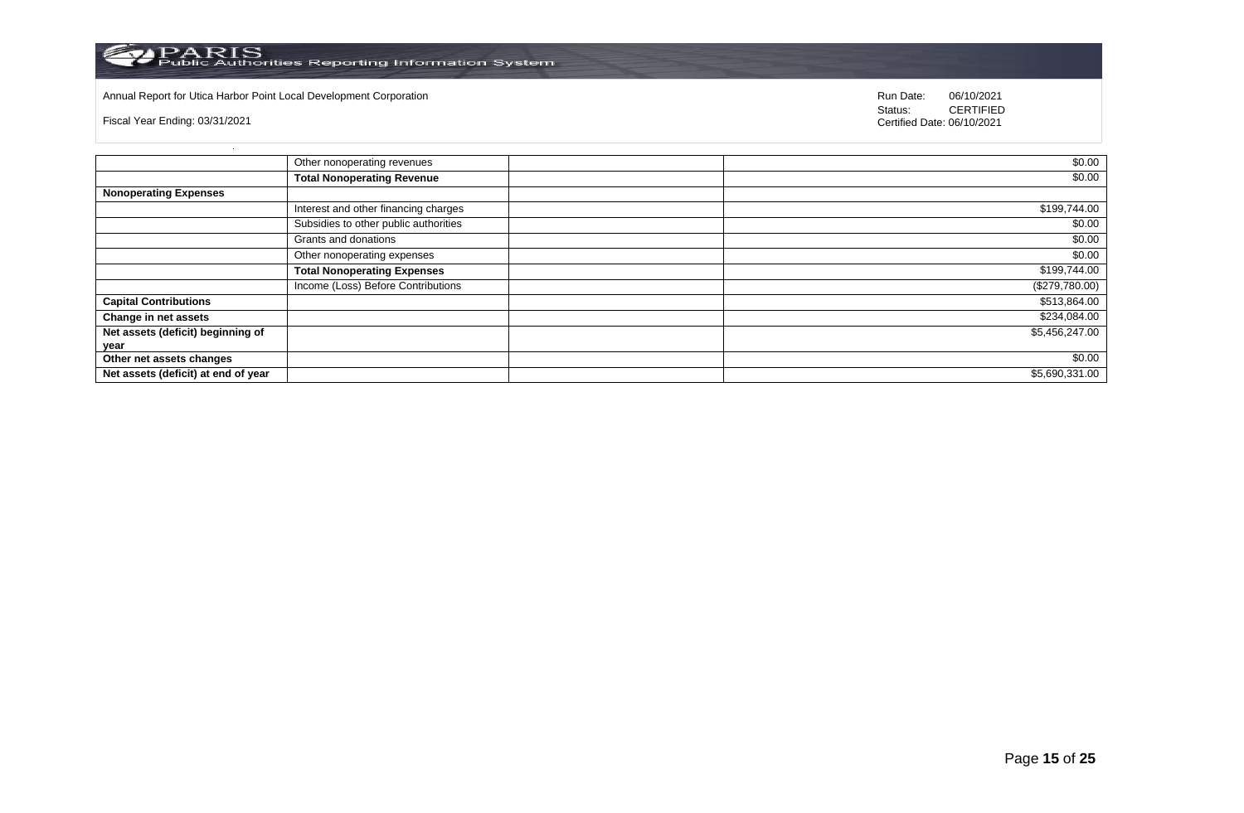

# Annual Report for Utica Harbor Point Local Development Corporation **Run Date:** 06/10/2021

Fiscal Year Ending: 03/31/2021

|                                     | Other nonoperating revenues           | \$0.00         |
|-------------------------------------|---------------------------------------|----------------|
|                                     | <b>Total Nonoperating Revenue</b>     | \$0.00         |
| <b>Nonoperating Expenses</b>        |                                       |                |
|                                     | Interest and other financing charges  | \$199,744.00   |
|                                     | Subsidies to other public authorities | \$0.00         |
|                                     | Grants and donations                  | \$0.00         |
|                                     | Other nonoperating expenses           | \$0.00         |
|                                     | <b>Total Nonoperating Expenses</b>    | \$199,744.00   |
|                                     | Income (Loss) Before Contributions    | (\$279,780.00) |
| <b>Capital Contributions</b>        |                                       | \$513,864.00   |
| Change in net assets                |                                       | \$234,084.00   |
| Net assets (deficit) beginning of   |                                       | \$5,456,247.00 |
| year                                |                                       |                |
| Other net assets changes            |                                       | \$0.00         |
| Net assets (deficit) at end of year |                                       | \$5,690,331.00 |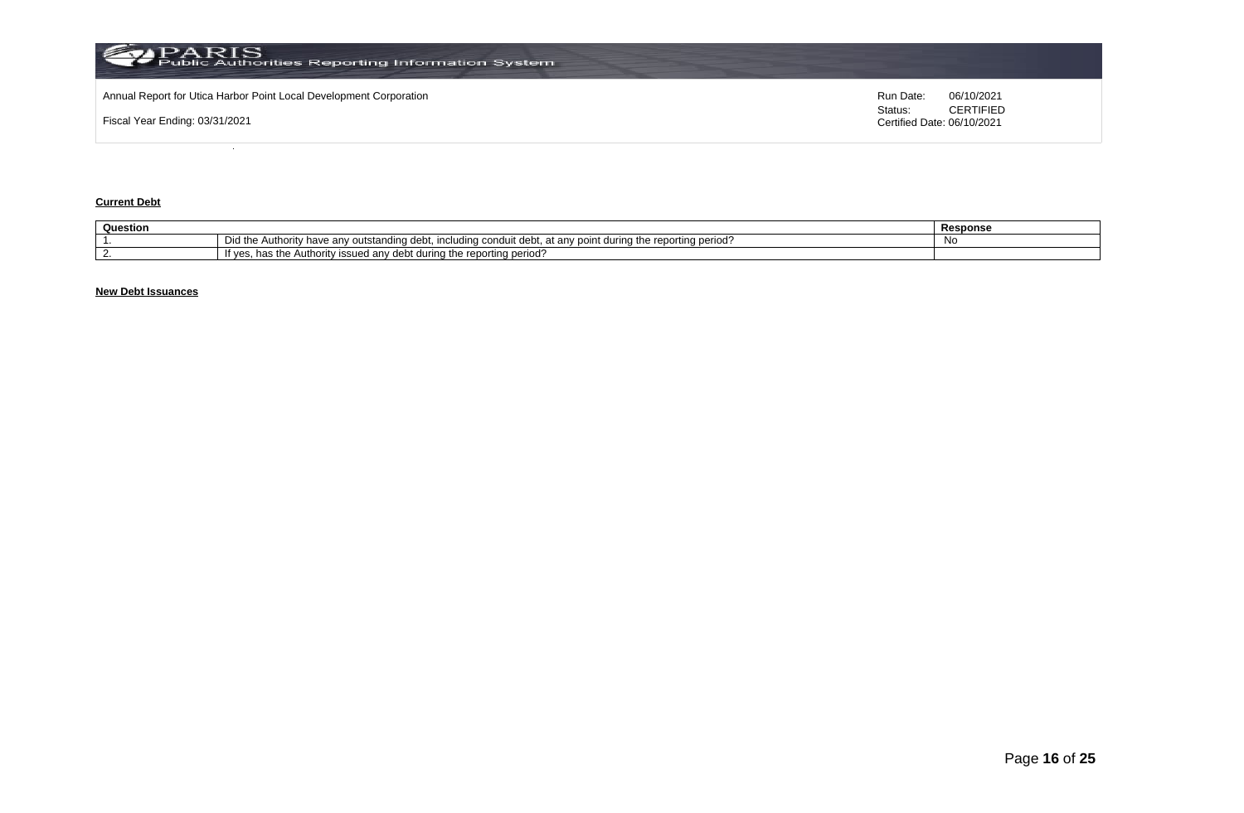

## **Current Debt**

| Question |                                                                                                                                                                | Response |
|----------|----------------------------------------------------------------------------------------------------------------------------------------------------------------|----------|
|          | Did the<br>Authority<br>i the reporting period'<br>durina tr<br>v have anv outstanding debt. i<br>.<br>any point<br><b>Including</b><br>condu<br>anv<br>. uebr | Νo       |
|          | : reportina period و<br><sup>.</sup> durina the<br>issued anv debt<br>Auth<br>ority<br>"t ves.<br>наэ ше                                                       |          |

# **New Debt Issuances**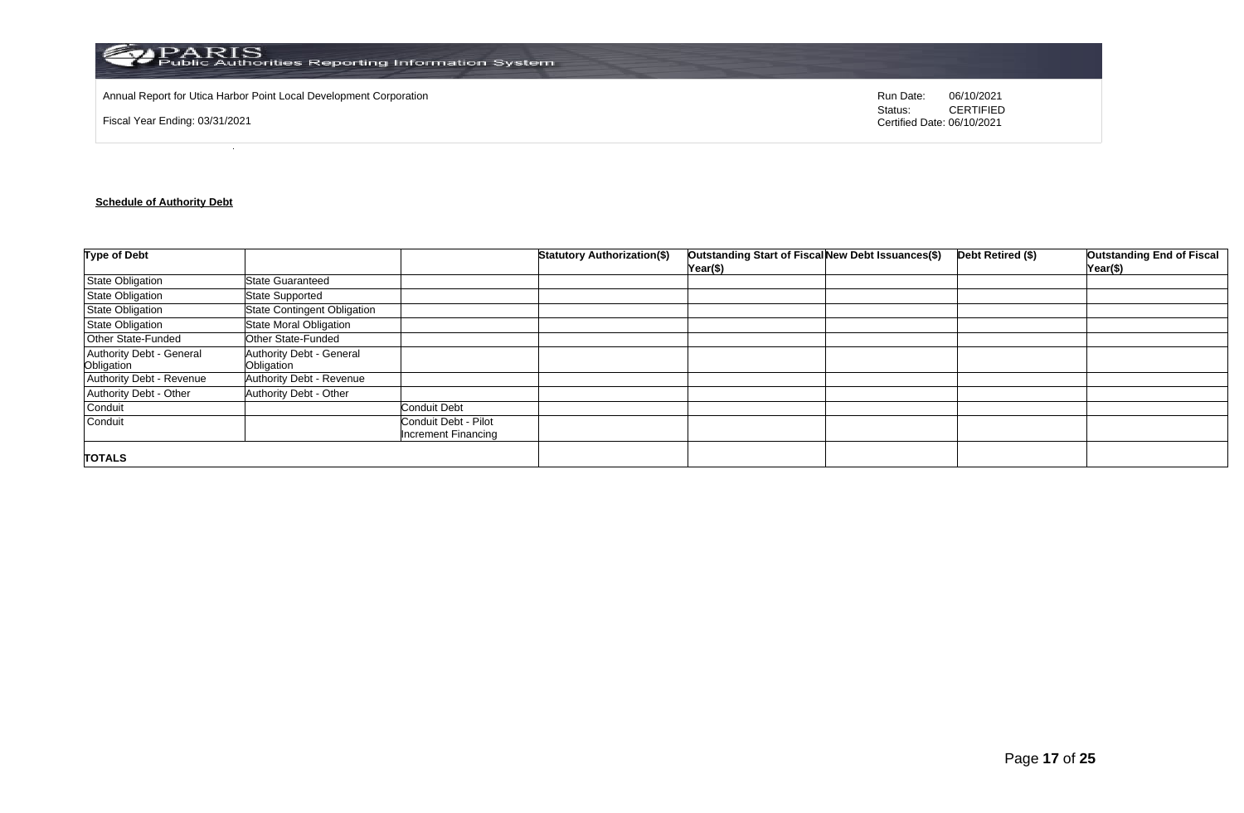

Annual Report for Utica Harbor Point Local Development Corporation **Run Date:** 06/10/2021

Fiscal Year Ending: 03/31/2021

Status: **CERTIFIED** Certified Date: 06/10/2021

# **Schedule of Authority Debt**

| <b>Type of Debt</b>                    |                                        |                                                    | <b>Statutory Authorization(\$)</b> | Outstanding Start of Fiscal New Debt Issuances(\$)<br>Year(\$) | Debt Retired (\$) | <b>Outstanding End of Fiscal</b><br>Year(\$) |
|----------------------------------------|----------------------------------------|----------------------------------------------------|------------------------------------|----------------------------------------------------------------|-------------------|----------------------------------------------|
| <b>State Obligation</b>                | <b>State Guaranteed</b>                |                                                    |                                    |                                                                |                   |                                              |
| <b>State Obligation</b>                | <b>State Supported</b>                 |                                                    |                                    |                                                                |                   |                                              |
| <b>State Obligation</b>                | <b>State Contingent Obligation</b>     |                                                    |                                    |                                                                |                   |                                              |
| State Obligation                       | State Moral Obligation                 |                                                    |                                    |                                                                |                   |                                              |
| Other State-Funded                     | Other State-Funded                     |                                                    |                                    |                                                                |                   |                                              |
| Authority Debt - General<br>Obligation | Authority Debt - General<br>Obligation |                                                    |                                    |                                                                |                   |                                              |
| Authority Debt - Revenue               | Authority Debt - Revenue               |                                                    |                                    |                                                                |                   |                                              |
| Authority Debt - Other                 | Authority Debt - Other                 |                                                    |                                    |                                                                |                   |                                              |
| Conduit                                |                                        | <b>Conduit Debt</b>                                |                                    |                                                                |                   |                                              |
| Conduit                                |                                        | Conduit Debt - Pilot<br><b>Increment Financing</b> |                                    |                                                                |                   |                                              |
| <b>TOTALS</b>                          |                                        |                                                    |                                    |                                                                |                   |                                              |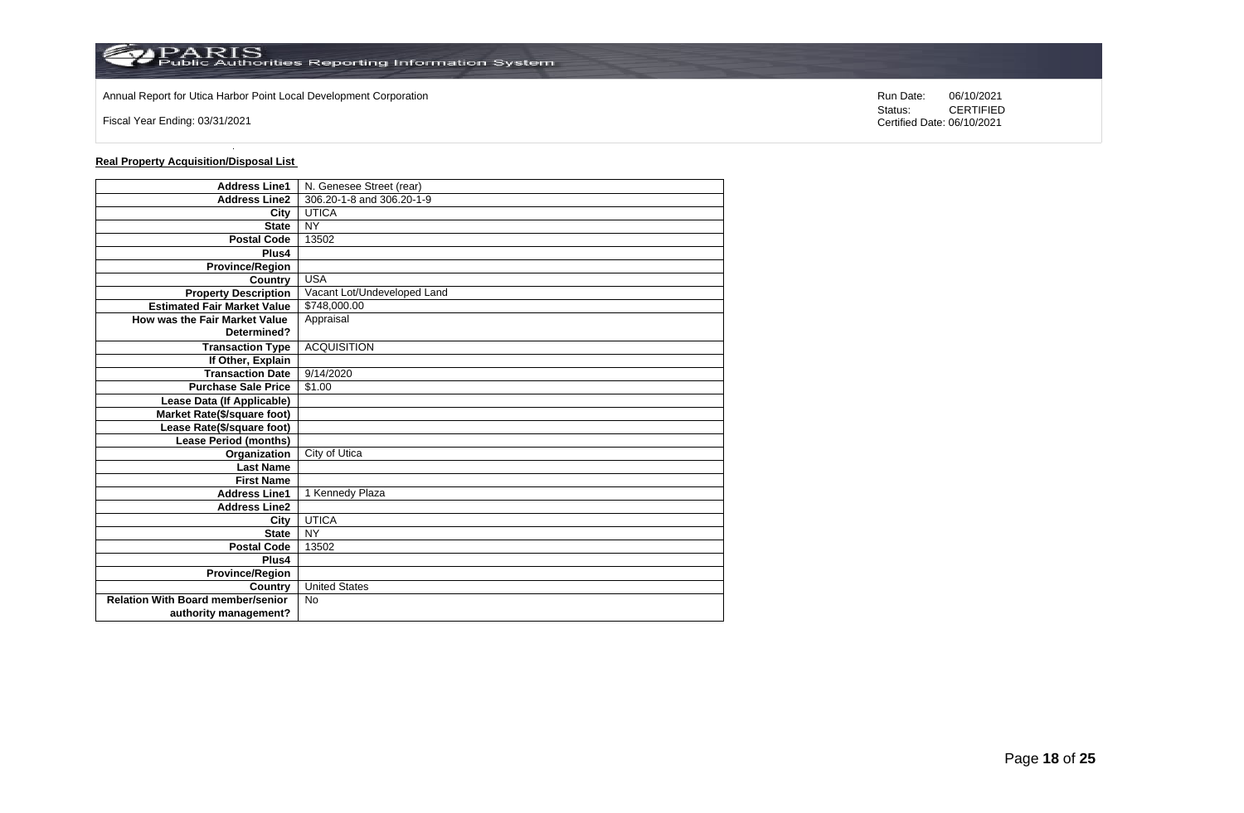

Annual Report for Utica Harbor Point Local Development Corporation **Run Date:** 06/10/2021

Fiscal Year Ending: 03/31/2021

# **Real Property Acquisition/Disposal List**

| <b>Address Line1</b>                     | N. Genesee Street (rear)    |
|------------------------------------------|-----------------------------|
| <b>Address Line2</b>                     | 306.20-1-8 and 306.20-1-9   |
| City                                     | <b>UTICA</b>                |
| <b>State</b>                             | <b>NY</b>                   |
| <b>Postal Code</b>                       | 13502                       |
| Plus4                                    |                             |
| <b>Province/Region</b>                   |                             |
| Country                                  | <b>USA</b>                  |
| <b>Property Description</b>              | Vacant Lot/Undeveloped Land |
| <b>Estimated Fair Market Value</b>       | \$748,000.00                |
| How was the Fair Market Value            | Appraisal                   |
| Determined?                              |                             |
| <b>Transaction Type</b>                  | <b>ACQUISITION</b>          |
| If Other, Explain                        |                             |
| <b>Transaction Date</b>                  | 9/14/2020                   |
| <b>Purchase Sale Price</b>               | \$1.00                      |
| Lease Data (If Applicable)               |                             |
| <b>Market Rate(\$/square foot)</b>       |                             |
| Lease Rate(\$/square foot)               |                             |
| <b>Lease Period (months)</b>             |                             |
| Organization                             | City of Utica               |
| <b>Last Name</b>                         |                             |
| <b>First Name</b>                        |                             |
| <b>Address Line1</b>                     | 1 Kennedy Plaza             |
| <b>Address Line2</b>                     |                             |
| City                                     | <b>UTICA</b>                |
| <b>State</b>                             | <b>NY</b>                   |
| <b>Postal Code</b>                       | 13502                       |
| Plus4                                    |                             |
| <b>Province/Region</b>                   |                             |
| Country                                  | <b>United States</b>        |
| <b>Relation With Board member/senior</b> | <b>No</b>                   |
| authority management?                    |                             |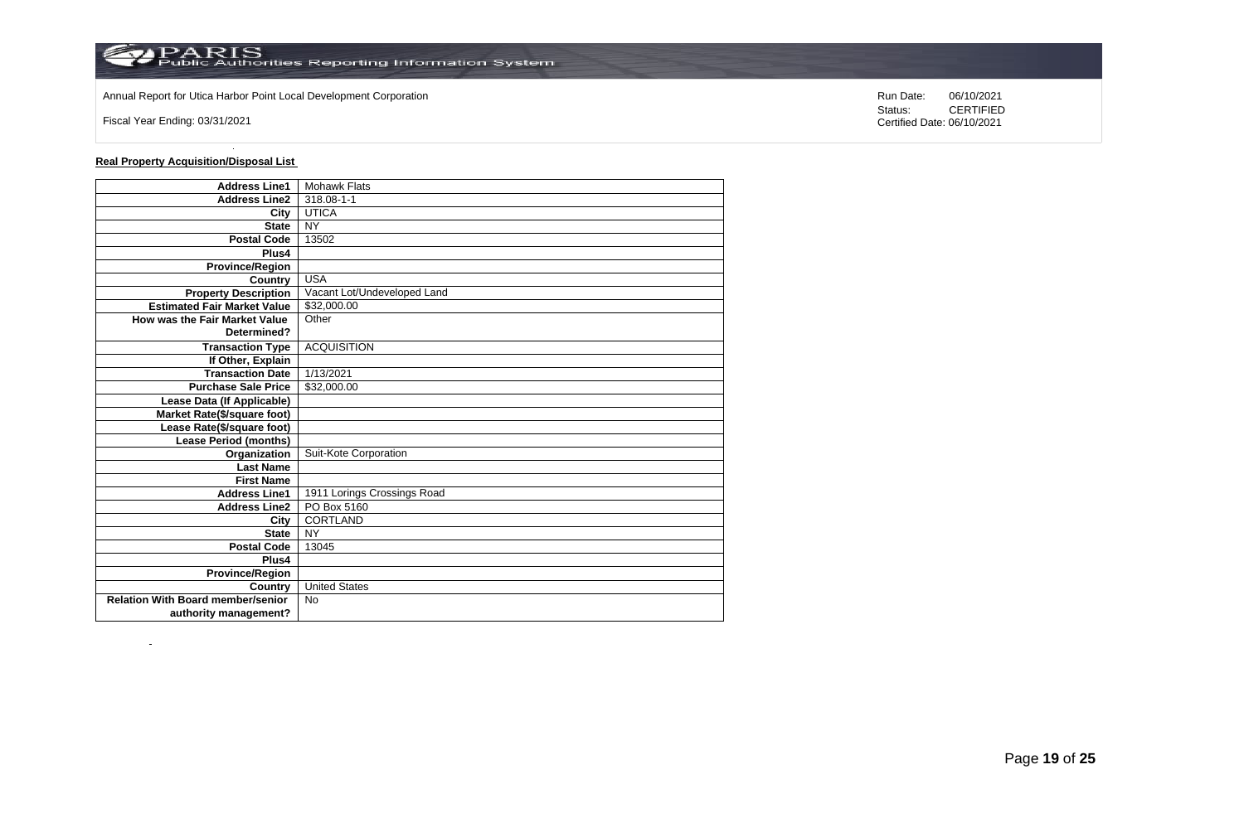

Annual Report for Utica Harbor Point Local Development Corporation **Run Date:** 06/10/2021

Fiscal Year Ending: 03/31/2021

 $\sim$ 

**Real Property Acquisition/Disposal List** 

| <b>Address Line1</b>                     | <b>Mohawk Flats</b>         |
|------------------------------------------|-----------------------------|
| <b>Address Line2</b>                     | 318.08-1-1                  |
| City                                     | <b>UTICA</b>                |
| <b>State</b>                             | <b>NY</b>                   |
| <b>Postal Code</b>                       | 13502                       |
| Plus4                                    |                             |
| <b>Province/Region</b>                   |                             |
| Country                                  | <b>USA</b>                  |
| <b>Property Description</b>              | Vacant Lot/Undeveloped Land |
| <b>Estimated Fair Market Value</b>       | \$32,000.00                 |
| How was the Fair Market Value            | Other                       |
| Determined?                              |                             |
| <b>Transaction Type</b>                  | <b>ACQUISITION</b>          |
| If Other, Explain                        |                             |
| <b>Transaction Date</b>                  | 1/13/2021                   |
| <b>Purchase Sale Price</b>               | \$32,000.00                 |
| Lease Data (If Applicable)               |                             |
| Market Rate(\$/square foot)              |                             |
| Lease Rate(\$/square foot)               |                             |
| <b>Lease Period (months)</b>             |                             |
| Organization                             | Suit-Kote Corporation       |
| <b>Last Name</b>                         |                             |
| <b>First Name</b>                        |                             |
| <b>Address Line1</b>                     | 1911 Lorings Crossings Road |
| <b>Address Line2</b>                     | PO Box 5160                 |
| City                                     | <b>CORTLAND</b>             |
| <b>State</b>                             | <b>NY</b>                   |
| <b>Postal Code</b>                       | 13045                       |
| Plus4                                    |                             |
| <b>Province/Region</b>                   |                             |
| Country                                  | <b>United States</b>        |
| <b>Relation With Board member/senior</b> | <b>No</b>                   |
| authority management?                    |                             |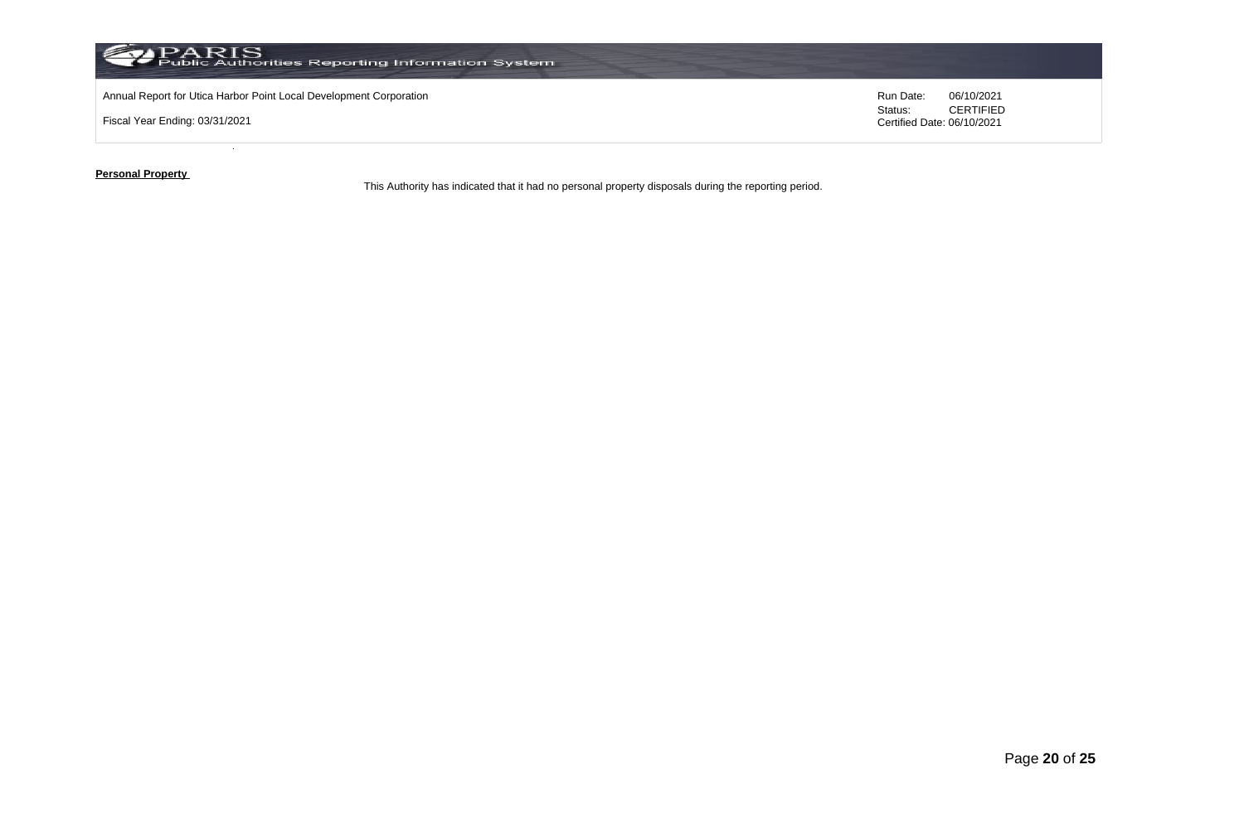

Fiscal Year Ending: 03/31/2021

Status: **CERTIFIED** Certified Date: 06/10/2021

**Personal Property** 

This Authority has indicated that it had no personal property disposals during the reporting period.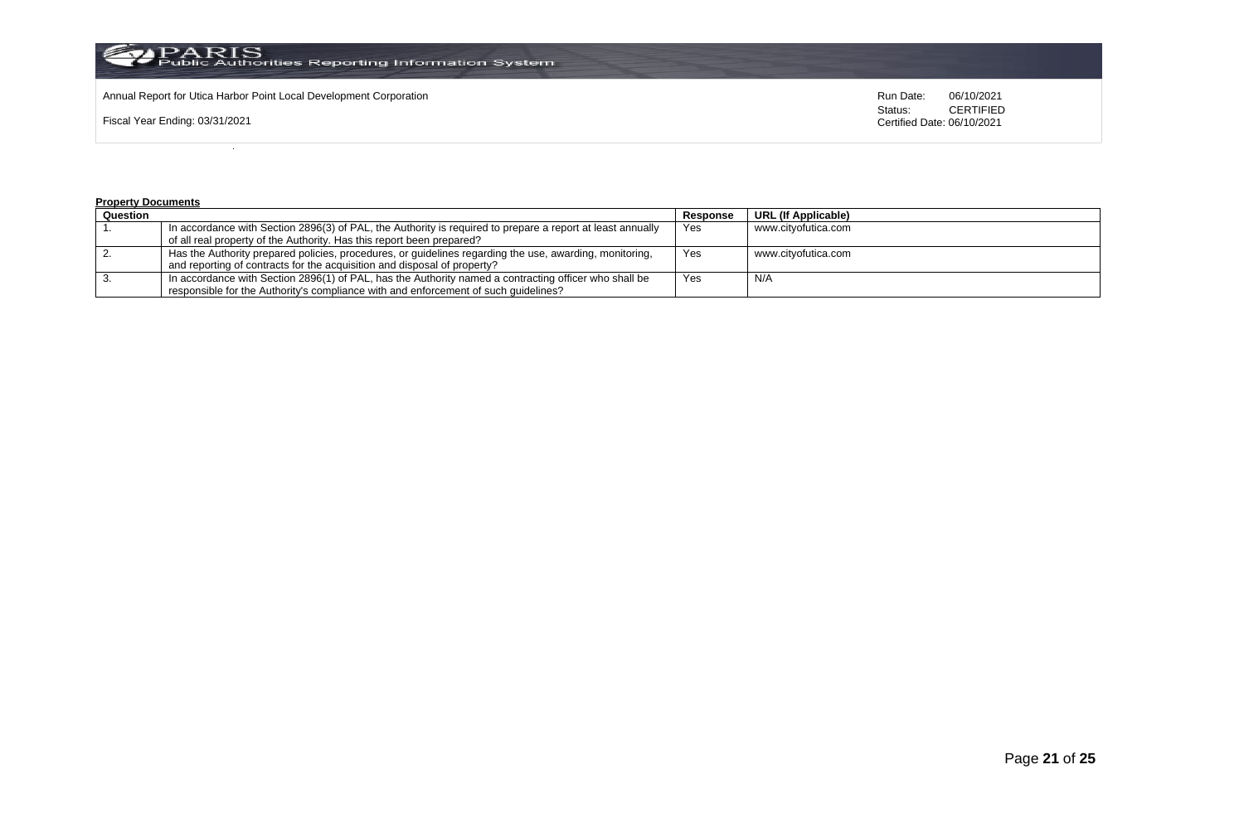

Fiscal Year Ending: 03/31/2021

Status: **CERTIFIED** Certified Date: 06/10/2021

#### **Property Documents**

| Question |                                                                                                            | Response | <b>URL (If Applicable)</b> |
|----------|------------------------------------------------------------------------------------------------------------|----------|----------------------------|
|          | In accordance with Section 2896(3) of PAL, the Authority is required to prepare a report at least annually | Yes      | www.citvofutica.com        |
|          | of all real property of the Authority. Has this report been prepared?                                      |          |                            |
|          | Has the Authority prepared policies, procedures, or guidelines regarding the use, awarding, monitoring,    | Yes      | www.citvofutica.com        |
|          | and reporting of contracts for the acquisition and disposal of property?                                   |          |                            |
|          | In accordance with Section 2896(1) of PAL, has the Authority named a contracting officer who shall be      | Yes      | N/A                        |
|          | responsible for the Authority's compliance with and enforcement of such quidelines?                        |          |                            |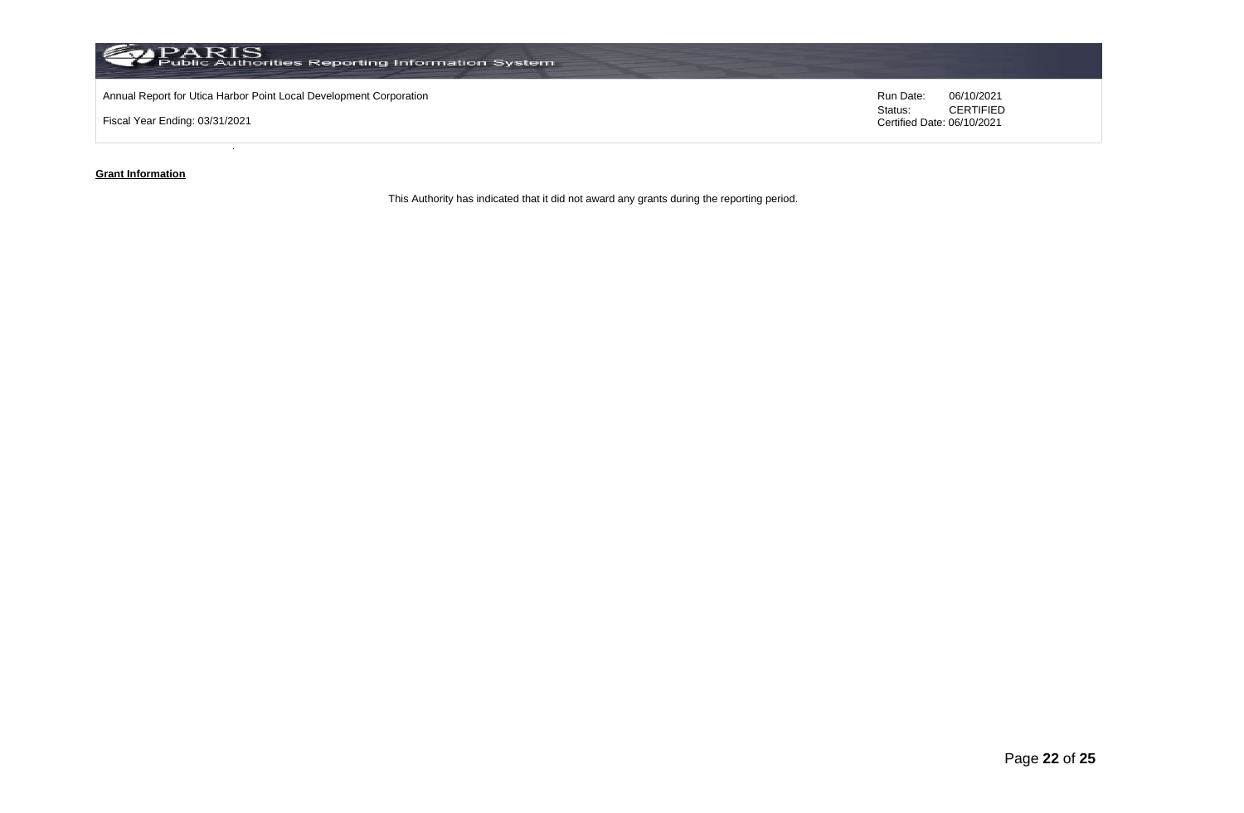

**Grant Information**

This Authority has indicated that it did not award any grants during the reporting period.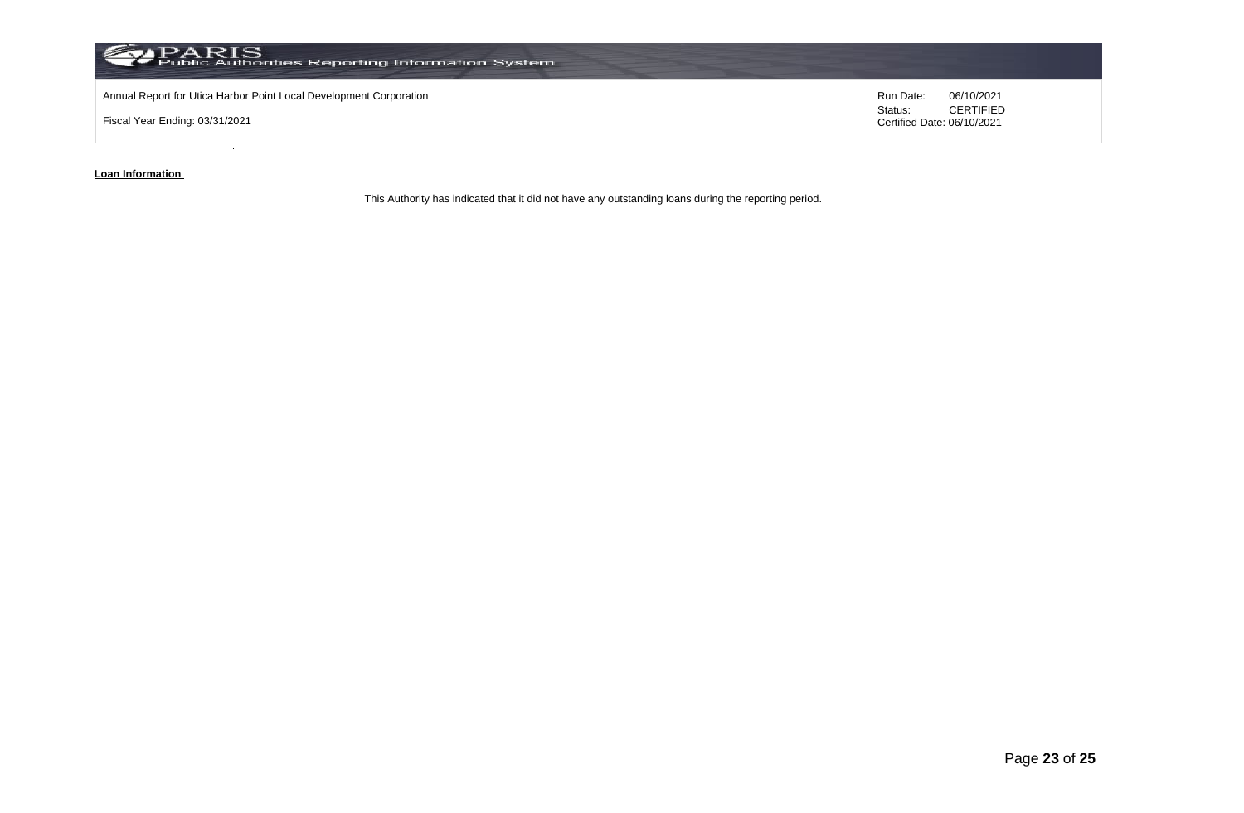

**Loan Information** 

This Authority has indicated that it did not have any outstanding loans during the reporting period.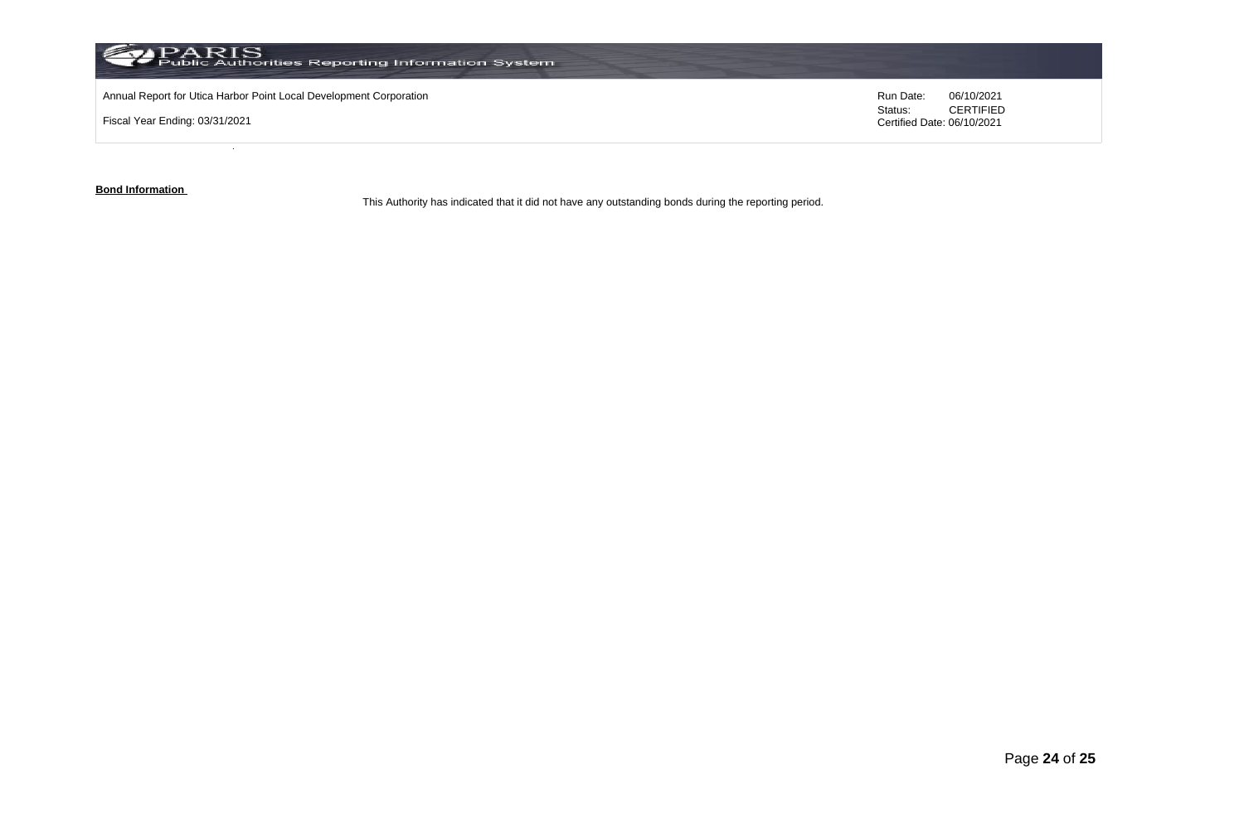

**Bond Information** 

This Authority has indicated that it did not have any outstanding bonds during the reporting period.